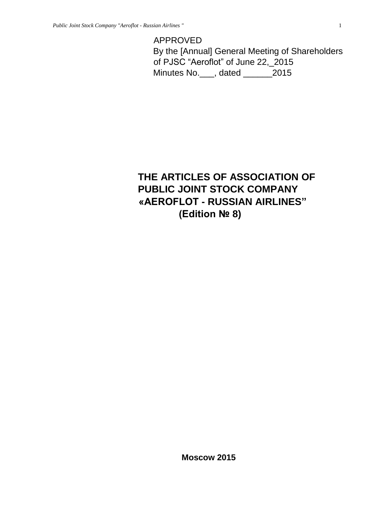# APPROVED

By the [Annual] General Meeting of Shareholders of PJSC "Aeroflot" of June 22,\_2015 Minutes No.\_\_\_, dated \_\_\_\_\_\_2015

# **THE ARTICLES OF ASSOCIATION OF PUBLIC JOINT STOCK COMPANY «AEROFLOT - RUSSIAN AIRLINES" (Edition № 8)**

**Moscow 2015**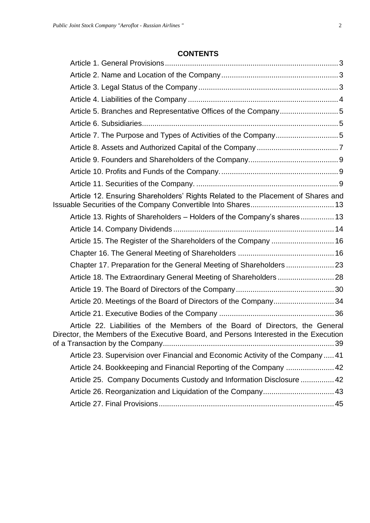# **CONTENTS**

| Article 5. Branches and Representative Offices of the Company5                                                                                                         |  |
|------------------------------------------------------------------------------------------------------------------------------------------------------------------------|--|
|                                                                                                                                                                        |  |
|                                                                                                                                                                        |  |
|                                                                                                                                                                        |  |
|                                                                                                                                                                        |  |
|                                                                                                                                                                        |  |
|                                                                                                                                                                        |  |
| Article 12. Ensuring Shareholders' Rights Related to the Placement of Shares and                                                                                       |  |
| Article 13. Rights of Shareholders - Holders of the Company's shares 13                                                                                                |  |
|                                                                                                                                                                        |  |
| Article 15. The Register of the Shareholders of the Company  16                                                                                                        |  |
|                                                                                                                                                                        |  |
|                                                                                                                                                                        |  |
|                                                                                                                                                                        |  |
|                                                                                                                                                                        |  |
| Article 20. Meetings of the Board of Directors of the Company34                                                                                                        |  |
|                                                                                                                                                                        |  |
| Article 22. Liabilities of the Members of the Board of Directors, the General<br>Director, the Members of the Executive Board, and Persons Interested in the Execution |  |
| Article 23. Supervision over Financial and Economic Activity of the Company  41                                                                                        |  |
| Article 24. Bookkeeping and Financial Reporting of the Company  42                                                                                                     |  |
| Article 25. Company Documents Custody and Information Disclosure  42                                                                                                   |  |
| Article 26. Reorganization and Liquidation of the Company 43                                                                                                           |  |
|                                                                                                                                                                        |  |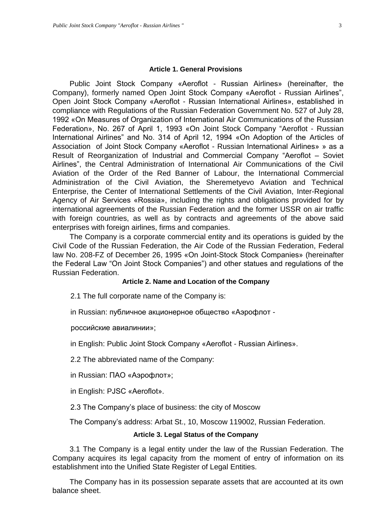#### **Article 1. General Provisions**

<span id="page-2-0"></span>Public Joint Stock Company «Aeroflot - Russian Airlines» (hereinafter, the Company), formerly named Open Joint Stock Company «Aeroflot - Russian Airlines", Open Joint Stock Company «Aeroflot - Russian International Airlines», established in compliance with Regulations of the Russian Federation Government No. 527 of July 28, 1992 «On Measures of Organization of International Air Communications of the Russian Federation», No. 267 of April 1, 1993 «On Joint Stock Company "Aeroflot - Russian International Airlines" and No. 314 of April 12, 1994 «On Adoption of the Articles of Association of Joint Stock Company «Aeroflot - Russian International Airlines» » as a Result of Reorganization of Industrial and Commercial Company "Aeroflot – Soviet Airlines", the Central Administration of International Air Communications of the Civil Aviation of the Order of the Red Banner of Labour, the International Commercial Administration of the Civil Aviation, the Sheremetyevo Aviation and Technical Enterprise, the Center of International Settlements of the Civil Aviation, Inter-Regional Agency of Air Services «Rossia», including the rights and obligations provided for by international agreements of the Russian Federation and the former USSR on air traffic with foreign countries, as well as by contracts and agreements of the above said enterprises with foreign airlines, firms and companies.

The Company is a corporate commercial entity and its operations is guided by the Civil Code of the Russian Federation, the Air Code of the Russian Federation, Federal law No. 208-FZ of December 26, 1995 «On Joint-Stock Stock Companies» (hereinafter the Federal Law "On Joint Stock Companies") and other statues and regulations of the Russian Federation.

#### **Article 2. Name and Location of the Company**

<span id="page-2-1"></span>2.1 The full corporate name of the Company is:

in Russian: публичное акционерное общество «Аэрофлот -

российские авиалинии»;

in English: Public Joint Stock Company «Aeroflot - Russian Airlines».

2.2 The abbreviated name of the Company:

in Russian: ПАО «Аэрофлот»;

in English: PJSC «Aeroflot».

2.3 The Company's place of business: the city of Moscow

The Company's address: Arbat St., 10, Moscow 119002, Russian Federation.

#### **Article 3. Legal Status of the Company**

<span id="page-2-2"></span>3.1 The Company is a legal entity under the law of the Russian Federation. The Company acquires its legal capacity from the moment of entry of information on its establishment into the Unified State Register of Legal Entities.

The Company has in its possession separate assets that are accounted at its own balance sheet.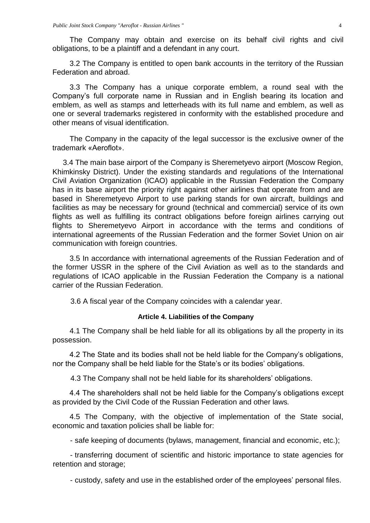The Company may obtain and exercise on its behalf civil rights and civil obligations, to be a plaintiff and a defendant in any court.

3.2 The Company is entitled to open bank accounts in the territory of the Russian Federation and abroad.

3.3 The Company has a unique corporate emblem, a round seal with the Company's full corporate name in Russian and in English bearing its location and emblem, as well as stamps and letterheads with its full name and emblem, as well as one or several trademarks registered in conformity with the established procedure and other means of visual identification.

The Company in the capacity of the legal successor is the exclusive owner of the trademark «Aeroflot».

3.4 The main base airport of the Company is Sheremetyevo airport (Moscow Region, Khimkinsky District). Under the existing standards and regulations of the International Civil Aviation Organization (ICAO) applicable in the Russian Federation the Company has in its base airport the priority right against other airlines that operate from and are based in Sheremetyevo Airport to use parking stands for own aircraft, buildings and facilities as may be necessary for ground (technical and commercial) service of its own flights as well as fulfilling its contract obligations before foreign airlines carrying out flights to Sheremetyevo Airport in accordance with the terms and conditions of international agreements of the Russian Federation and the former Soviet Union on air communication with foreign countries.

3.5 In accordance with international agreements of the Russian Federation and of the former USSR in the sphere of the Civil Aviation as well as to the standards and regulations of ICAO applicable in the Russian Federation the Company is a national carrier of the Russian Federation.

3.6 A fiscal year of the Company coincides with a calendar year.

## **Article 4. Liabilities of the Company**

<span id="page-3-0"></span>4.1 The Company shall be held liable for all its obligations by all the property in its possession.

4.2 The State and its bodies shall not be held liable for the Company's obligations, nor the Company shall be held liable for the State's or its bodies' obligations.

4.3 The Company shall not be held liable for its shareholders' obligations.

4.4 The shareholders shall not be held liable for the Company's obligations except as provided by the Civil Code of the Russian Federation and other laws*.* 

4.5 The Company, with the objective of implementation of the State social, economic and taxation policies shall be liable for:

- safe keeping of documents (bylaws, management, financial and economic, etc.);

- transferring document of scientific and historic importance to state agencies for retention and storage;

- custody, safety and use in the established order of the employees' personal files.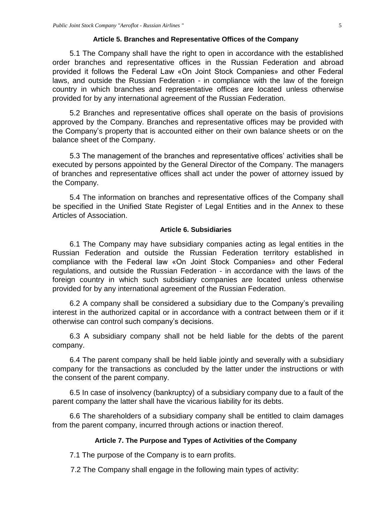## **Article 5. Branches and Representative Offices of the Company**

<span id="page-4-0"></span>5.1 The Company shall have the right to open in accordance with the established order branches and representative offices in the Russian Federation and abroad provided it follows the Federal Law «On Joint Stock Companies» and other Federal laws, and outside the Russian Federation - in compliance with the law of the foreign country in which branches and representative offices are located unless otherwise provided for by any international agreement of the Russian Federation.

5.2 Branches and representative offices shall operate on the basis of provisions approved by the Company. Branches and representative offices may be provided with the Company's property that is accounted either on their own balance sheets or on the balance sheet of the Company.

5.3 The management of the branches and representative offices' activities shall be executed by persons appointed by the General Director of the Company. The managers of branches and representative offices shall act under the power of attorney issued by the Company.

5.4 The information on branches and representative offices of the Company shall be specified in the Unified State Register of Legal Entities and in the Annex to these Articles of Association.

## **Article 6. Subsidiaries**

<span id="page-4-1"></span>6.1 The Company may have subsidiary companies acting as legal entities in the Russian Federation and outside the Russian Federation territory established in compliance with the Federal law «On Joint Stock Companies» and other Federal regulations, and outside the Russian Federation - in accordance with the laws of the foreign country in which such subsidiary companies are located unless otherwise provided for by any international agreement of the Russian Federation.

6.2 A company shall be considered a subsidiary due to the Company's prevailing interest in the authorized capital or in accordance with a contract between them or if it otherwise can control such company's decisions.

6.3 A subsidiary company shall not be held liable for the debts of the parent company.

6.4 The parent company shall be held liable jointly and severally with a subsidiary company for the transactions as concluded by the latter under the instructions or with the consent of the parent company.

6.5 In case of insolvency (bankruptcy) of a subsidiary company due to a fault of the parent company the latter shall have the vicarious liability for its debts.

6.6 The shareholders of a subsidiary company shall be entitled to claim damages from the parent company, incurred through actions or inaction thereof.

## **Article 7. The Purpose and Types of Activities of the Company**

<span id="page-4-2"></span>7.1 The purpose of the Company is to earn profits.

7.2 The Company shall engage in the following main types of activity: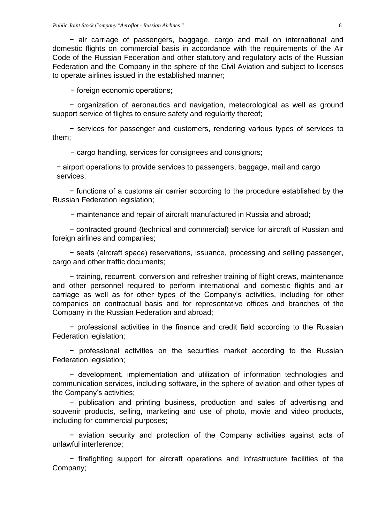− air carriage of passengers, baggage, cargo and mail on international and domestic flights on commercial basis in accordance with the requirements of the Air Code of the Russian Federation and other statutory and regulatory acts of the Russian Federation and the Company in the sphere of the Civil Aviation and subject to licenses to operate airlines issued in the established manner;

− foreign economic operations;

− organization of aeronautics and navigation, meteorological as well as ground support service of flights to ensure safety and regularity thereof;

− services for passenger and customers, rendering various types of services to them;

− cargo handling, services for consignees and consignors;

− airport operations to provide services to passengers, baggage, mail and cargo services;

− functions of a customs air carrier according to the procedure established by the Russian Federation legislation;

− maintenance and repair of aircraft manufactured in Russia and abroad;

− contracted ground (technical and commercial) service for aircraft of Russian and foreign airlines and companies;

− seats (aircraft space) reservations, issuance, processing and selling passenger, cargo and other traffic documents;

− training, recurrent, conversion and refresher training of flight crews, maintenance and other personnel required to perform international and domestic flights and air carriage as well as for other types of the Company's activities, including for other companies on contractual basis and for representative offices and branches of the Company in the Russian Federation and abroad;

− professional activities in the finance and credit field according to the Russian Federation legislation;

− professional activities on the securities market according to the Russian Federation legislation;

− development, implementation and utilization of information technologies and communication services, including software, in the sphere of aviation and other types of the Company's activities;

− publication and printing business, production and sales of advertising and souvenir products, selling, marketing and use of photo, movie and video products, including for commercial purposes;

− aviation security and protection of the Company activities against acts of unlawful interference;

− firefighting support for aircraft operations and infrastructure facilities of the Company;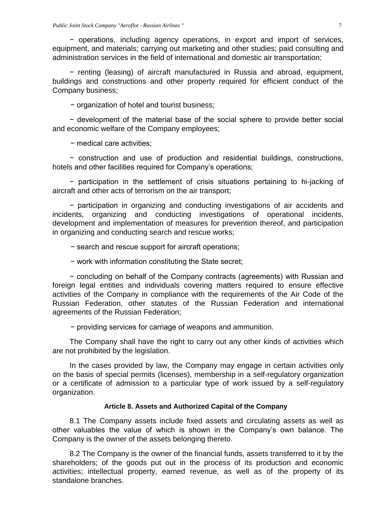− operations, including agency operations, in export and import of services, equipment, and materials; carrying out marketing and other studies; paid consulting and administration services in the field of international and domestic air transportation;

− renting (leasing) of aircraft manufactured in Russia and abroad, equipment, buildings and constructions and other property required for efficient conduct of the Company business;

− organization of hotel and tourist business;

− development of the material base of the social sphere to provide better social and economic welfare of the Company employees;

− medical care activities;

− construction and use of production and residential buildings, constructions, hotels and other facilities required for Company's operations;

− participation in the settlement of crisis situations pertaining to hi-jacking of aircraft and other acts of terrorism on the air transport;

− participation in organizing and conducting investigations of air accidents and incidents, organizing and conducting investigations of operational incidents, development and implementation of measures for prevention thereof, and participation in organizing and conducting search and rescue works;

− search and rescue support for aircraft operations;

− work with information constituting the State secret;

− concluding on behalf of the Company contracts (agreements) with Russian and foreign legal entities and individuals covering matters required to ensure effective activities of the Company in compliance with the requirements of the Air Code of the Russian Federation, other statutes of the Russian Federation and international agreements of the Russian Federation;

− providing services for carriage of weapons and ammunition.

The Company shall have the right to carry out any other kinds of activities which are not prohibited by the legislation.

In the cases provided by law, the Company may engage in certain activities only on the basis of special permits (licenses), membership in a self-regulatory organization or a certificate of admission to a particular type of work issued by a self-regulatory organization.

#### **Article 8. Assets and Authorized Capital of the Company**

<span id="page-6-0"></span>8.1 The Company assets include fixed assets and circulating assets as well as other valuables the value of which is shown in the Company's own balance. The Company is the owner of the assets belonging thereto.

8.2 The Company is the owner of the financial funds, assets transferred to it by the shareholders; of the goods put out in the process of its production and economic activities; intellectual property, earned revenue, as well as of the property of its standalone branches.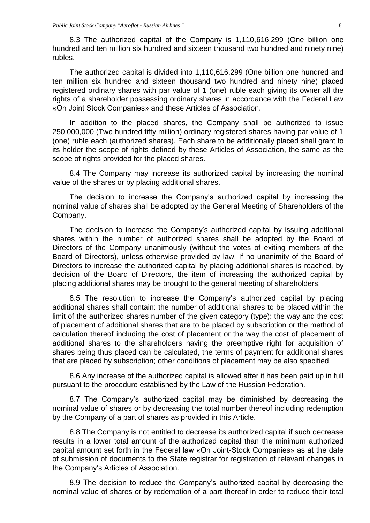8.3 The authorized capital of the Company is 1,110,616,299 (One billion one hundred and ten million six hundred and sixteen thousand two hundred and ninety nine) rubles.

The authorized capital is divided into 1,110,616,299 (One billion one hundred and ten million six hundred and sixteen thousand two hundred and ninety nine) placed registered ordinary shares with par value of 1 (one) ruble each giving its owner all the rights of a shareholder possessing ordinary shares in accordance with the Federal Law «On Joint Stock Companies» and these Articles of Association.

In addition to the placed shares, the Company shall be authorized to issue 250,000,000 (Two hundred fifty million) ordinary registered shares having par value of 1 (one) ruble each (authorized shares). Each share to be additionally placed shall grant to its holder the scope of rights defined by these Articles of Association, the same as the scope of rights provided for the placed shares.

8.4 The Company may increase its authorized capital by increasing the nominal value of the shares or by placing additional shares.

The decision to increase the Company's authorized capital by increasing the nominal value of shares shall be adopted by the General Meeting of Shareholders of the Company.

The decision to increase the Company's authorized capital by issuing additional shares within the number of authorized shares shall be adopted by the Board of Directors of the Company unanimously (without the votes of exiting members of the Board of Directors), unless otherwise provided by law. If no unanimity of the Board of Directors to increase the authorized capital by placing additional shares is reached, by decision of the Board of Directors, the item of increasing the authorized capital by placing additional shares may be brought to the general meeting of shareholders.

8.5 The resolution to increase the Company's authorized capital by placing additional shares shall contain: the number of additional shares to be placed within the limit of the authorized shares number of the given category (type): the way and the cost of placement of additional shares that are to be placed by subscription or the method of calculation thereof including the cost of placement or the way the cost of placement of additional shares to the shareholders having the preemptive right for acquisition of shares being thus placed can be calculated, the terms of payment for additional shares that are placed by subscription; other conditions of placement may be also specified.

8.6 Any increase of the authorized capital is allowed after it has been paid up in full pursuant to the procedure established by the Law of the Russian Federation.

8.7 The Company's authorized capital may be diminished by decreasing the nominal value of shares or by decreasing the total number thereof including redemption by the Company of a part of shares as provided in this Article.

8.8 The Company is not entitled to decrease its authorized capital if such decrease results in a lower total amount of the authorized capital than the minimum authorized capital amount set forth in the Federal law «On Joint-Stock Companies» as at the date of submission of documents to the State registrar for registration of relevant changes in the Company's Articles of Association.

8.9 The decision to reduce the Company's authorized capital by decreasing the nominal value of shares or by redemption of a part thereof in order to reduce their total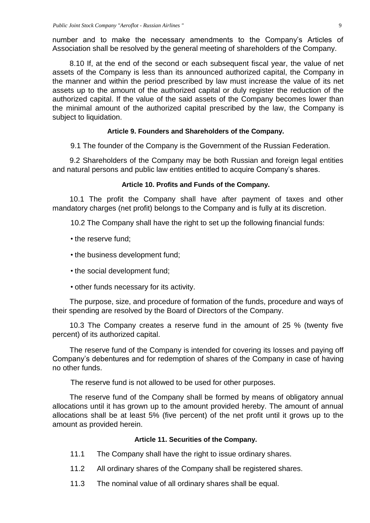number and to make the necessary amendments to the Company's Articles of Association shall be resolved by the general meeting of shareholders of the Company.

8.10 If, at the end of the second or each subsequent fiscal year, the value of net assets of the Company is less than its announced authorized capital, the Company in the manner and within the period prescribed by law must increase the value of its net assets up to the amount of the authorized capital or duly register the reduction of the authorized capital. If the value of the said assets of the Company becomes lower than the minimal amount of the authorized capital prescribed by the law, the Company is subject to liquidation.

# **Article 9. Founders and Shareholders of the Company.**

<span id="page-8-0"></span>9.1 The founder of the Company is the Government of the Russian Federation.

9.2 Shareholders of the Company may be both Russian and foreign legal entities and natural persons and public law entities entitled to acquire Company's shares.

## **Article 10. Profits and Funds of the Company.**

<span id="page-8-1"></span>10.1 The profit the Company shall have after payment of taxes and other mandatory charges (net profit) belongs to the Company and is fully at its discretion.

10.2 The Company shall have the right to set up the following financial funds:

- the reserve fund;
- the business development fund;
- the social development fund;
- other funds necessary for its activity.

The purpose, size, and procedure of formation of the funds, procedure and ways of their spending are resolved by the Board of Directors of the Company.

10.3 The Company creates a reserve fund in the amount of 25 % (twenty five percent) of its authorized capital.

The reserve fund of the Company is intended for covering its losses and paying off Company's debentures and for redemption of shares of the Company in case of having no other funds.

The reserve fund is not allowed to be used for other purposes.

The reserve fund of the Company shall be formed by means of obligatory annual allocations until it has grown up to the amount provided hereby. The amount of annual allocations shall be at least 5% (five percent) of the net profit until it grows up to the amount as provided herein.

## **Article 11. Securities of the Company.**

- <span id="page-8-2"></span>11.1 The Company shall have the right to issue ordinary shares.
- 11.2 All ordinary shares of the Company shall be registered shares.
- 11.3 The nominal value of all ordinary shares shall be equal.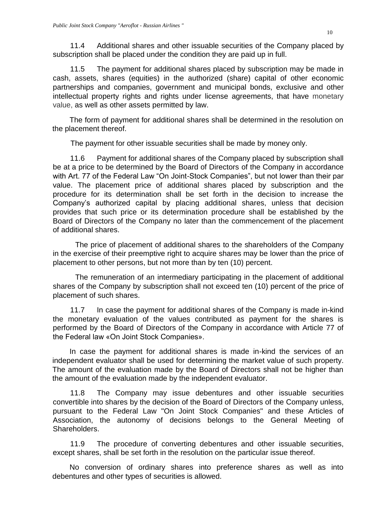11.4 Additional shares and other issuable securities of the Company placed by subscription shall be placed under the condition they are paid up in full.

11.5 The payment for additional shares placed by subscription may be made in cash, assets, shares (equities) in the authorized (share) capital of other economic partnerships and companies, government and municipal bonds, exclusive and other intellectual property rights and rights under license agreements, that have monetary value, as well as other assets permitted by law.

The form of payment for additional shares shall be determined in the resolution on the placement thereof.

The payment for other issuable securities shall be made by money only.

11.6 Payment for additional shares of the Company placed by subscription shall be at a price to be determined by the Board of Directors of the Company in accordance with Art. 77 of the Federal Law "On Joint-Stock Companies", but not lower than their par value. The placement price of additional shares placed by subscription and the procedure for its determination shall be set forth in the decision to increase the Company's authorized capital by placing additional shares, unless that decision provides that such price or its determination procedure shall be established by the Board of Directors of the Company no later than the commencement of the placement of additional shares.

The price of placement of additional shares to the shareholders of the Company in the exercise of their preemptive right to acquire shares may be lower than the price of placement to other persons, but not more than by ten (10) percent.

The remuneration of an intermediary participating in the placement of additional shares of the Company by subscription shall not exceed ten (10) percent of the price of placement of such shares.

11.7 In case the payment for additional shares of the Company is made in-kind the monetary evaluation of the values contributed as payment for the shares is performed by the Board of Directors of the Company in accordance with Article 77 of the Federal law «On Joint Stock Companies».

In case the payment for additional shares is made in-kind the services of an independent evaluator shall be used for determining the market value of such property. The amount of the evaluation made by the Board of Directors shall not be higher than the amount of the evaluation made by the independent evaluator.

11.8 The Company may issue debentures and other issuable securities convertible into shares by the decision of the Board of Directors of the Company unless, pursuant to the Federal Law "On Joint Stock Companies" and these Articles of Association, the autonomy of decisions belongs to the General Meeting of Shareholders.

11.9 The procedure of converting debentures and other issuable securities, except shares, shall be set forth in the resolution on the particular issue thereof.

No conversion of ordinary shares into preference shares as well as into debentures and other types of securities is allowed.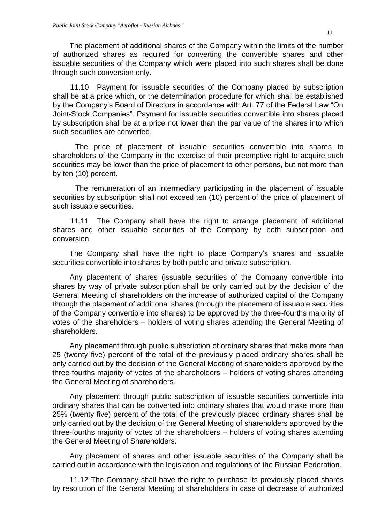The placement of additional shares of the Company within the limits of the number of authorized shares as required for converting the convertible shares and other issuable securities of the Company which were placed into such shares shall be done through such conversion only.

11.10 Payment for issuable securities of the Company placed by subscription shall be at a price which, or the determination procedure for which shall be established by the Company's Board of Directors in accordance with Art. 77 of the Federal Law "On Joint-Stock Companies". Payment for issuable securities convertible into shares placed by subscription shall be at a price not lower than the par value of the shares into which such securities are converted.

The price of placement of issuable securities convertible into shares to shareholders of the Company in the exercise of their preemptive right to acquire such securities may be lower than the price of placement to other persons, but not more than by ten (10) percent.

The remuneration of an intermediary participating in the placement of issuable securities by subscription shall not exceed ten (10) percent of the price of placement of such issuable securities.

11.11 The Company shall have the right to arrange placement of additional shares and other issuable securities of the Company by both subscription and conversion.

The Company shall have the right to place Company's shares and issuable securities convertible into shares by both public and private subscription.

Any placement of shares (issuable securities of the Company convertible into shares by way of private subscription shall be only carried out by the decision of the General Meeting of shareholders on the increase of authorized capital of the Company through the placement of additional shares (through the placement of issuable securities of the Company convertible into shares) to be approved by the three-fourths majority of votes of the shareholders – holders of voting shares attending the General Meeting of shareholders.

Any placement through public subscription of ordinary shares that make more than 25 (twenty five) percent of the total of the previously placed ordinary shares shall be only carried out by the decision of the General Meeting of shareholders approved by the three-fourths majority of votes of the shareholders – holders of voting shares attending the General Meeting of shareholders.

Any placement through public subscription of issuable securities convertible into ordinary shares that can be converted into ordinary shares that would make more than 25% (twenty five) percent of the total of the previously placed ordinary shares shall be only carried out by the decision of the General Meeting of shareholders approved by the three-fourths majority of votes of the shareholders – holders of voting shares attending the General Meeting of Shareholders.

Any placement of shares and other issuable securities of the Company shall be carried out in accordance with the legislation and regulations of the Russian Federation.

11.12 The Company shall have the right to purchase its previously placed shares by resolution of the General Meeting of shareholders in case of decrease of authorized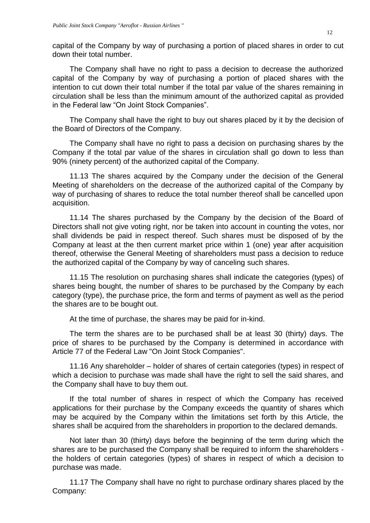capital of the Company by way of purchasing a portion of placed shares in order to cut down their total number.

The Company shall have no right to pass a decision to decrease the authorized capital of the Company by way of purchasing a portion of placed shares with the intention to cut down their total number if the total par value of the shares remaining in circulation shall be less than the minimum amount of the authorized capital as provided in the Federal law "On Joint Stock Companies".

The Company shall have the right to buy out shares placed by it by the decision of the Board of Directors of the Company.

The Company shall have no right to pass a decision on purchasing shares by the Company if the total par value of the shares in circulation shall go down to less than 90% (ninety percent) of the authorized capital of the Company.

11.13 The shares acquired by the Company under the decision of the General Meeting of shareholders on the decrease of the authorized capital of the Company by way of purchasing of shares to reduce the total number thereof shall be cancelled upon acquisition.

11.14 The shares purchased by the Company by the decision of the Board of Directors shall not give voting right, nor be taken into account in counting the votes, nor shall dividends be paid in respect thereof. Such shares must be disposed of by the Company at least at the then current market price within 1 (one) year after acquisition thereof, otherwise the General Meeting of shareholders must pass a decision to reduce the authorized capital of the Company by way of canceling such shares.

11.15 The resolution on purchasing shares shall indicate the categories (types) of shares being bought, the number of shares to be purchased by the Company by each category (type), the purchase price, the form and terms of payment as well as the period the shares are to be bought out.

At the time of purchase, the shares may be paid for in-kind.

The term the shares are to be purchased shall be at least 30 (thirty) days. The price of shares to be purchased by the Company is determined in accordance with Article 77 of the Federal Law "On Joint Stock Companies".

11.16 Any shareholder – holder of shares of certain categories (types) in respect of which a decision to purchase was made shall have the right to sell the said shares, and the Company shall have to buy them out.

If the total number of shares in respect of which the Company has received applications for their purchase by the Company exceeds the quantity of shares which may be acquired by the Company within the limitations set forth by this Article, the shares shall be acquired from the shareholders in proportion to the declared demands.

Not later than 30 (thirty) days before the beginning of the term during which the shares are to be purchased the Company shall be required to inform the shareholders the holders of certain categories (types) of shares in respect of which a decision to purchase was made.

11.17 The Company shall have no right to purchase ordinary shares placed by the Company: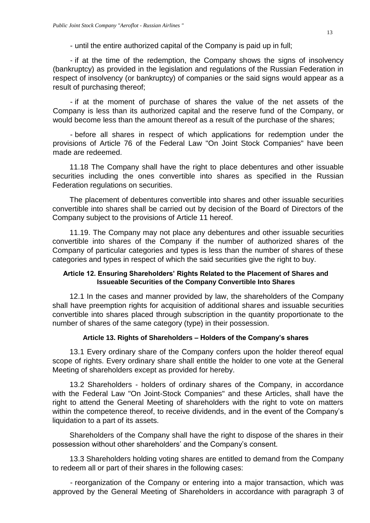- until the entire authorized capital of the Company is paid up in full;

- if at the time of the redemption, the Company shows the signs of insolvency (bankruptcy) as provided in the legislation and regulations of the Russian Federation in respect of insolvency (or bankruptcy) of companies or the said signs would appear as a result of purchasing thereof;

- if at the moment of purchase of shares the value of the net assets of the Company is less than its authorized capital and the reserve fund of the Company, or would become less than the amount thereof as a result of the purchase of the shares;

- before all shares in respect of which applications for redemption under the provisions of Article 76 of the Federal Law "On Joint Stock Companies" have been made are redeemed.

11.18 The Company shall have the right to place debentures and other issuable securities including the ones convertible into shares as specified in the Russian Federation regulations on securities.

The placement of debentures convertible into shares and other issuable securities convertible into shares shall be carried out by decision of the Board of Directors of the Company subject to the provisions of Article 11 hereof.

11.19. The Company may not place any debentures and other issuable securities convertible into shares of the Company if the number of authorized shares of the Company of particular categories and types is less than the number of shares of these categories and types in respect of which the said securities give the right to buy.

# <span id="page-12-0"></span>**Article 12. Ensuring Shareholders' Rights Related to the Placement of Shares and Issueable Securities of the Company Convertible Into Shares**

12.1 In the cases and manner provided by law, the shareholders of the Company shall have preemption rights for acquisition of additional shares and issuable securities convertible into shares placed through subscription in the quantity proportionate to the number of shares of the same category (type) in their possession.

# **Article 13. Rights of Shareholders – Holders of the Company's shares**

<span id="page-12-1"></span>13.1 Every ordinary share of the Company confers upon the holder thereof equal scope of rights. Every ordinary share shall entitle the holder to one vote at the General Meeting of shareholders except as provided for hereby.

13.2 Shareholders - holders of ordinary shares of the Company, in accordance with the Federal Law "On Joint-Stock Companies" and these Articles, shall have the right to attend the General Meeting of shareholders with the right to vote on matters within the competence thereof, to receive dividends, and in the event of the Company's liquidation to a part of its assets.

Shareholders of the Company shall have the right to dispose of the shares in their possession without other shareholders' and the Company's consent.

13.3 Shareholders holding voting shares are entitled to demand from the Company to redeem all or part of their shares in the following cases:

- reorganization of the Company or entering into a major transaction, which was approved by the General Meeting of Shareholders in accordance with paragraph 3 of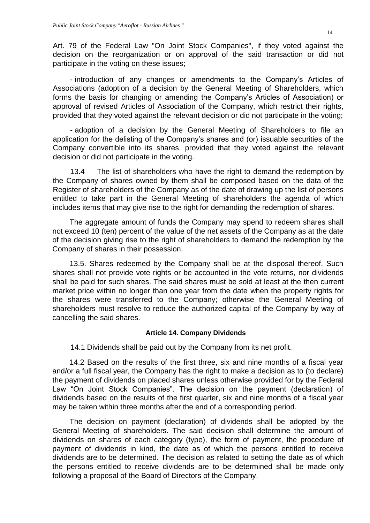Art. 79 of the Federal Law "On Joint Stock Companies", if they voted against the decision on the reorganization or on approval of the said transaction or did not participate in the voting on these issues;

- introduction of any changes or amendments to the Company's Articles of Associations (adoption of a decision by the General Meeting of Shareholders, which forms the basis for changing or amending the Company's Articles of Association) or approval of revised Articles of Association of the Company, which restrict their rights, provided that they voted against the relevant decision or did not participate in the voting;

- adoption of a decision by the General Meeting of Shareholders to file an application for the delisting of the Company's shares and (or) issuable securities of the Company convertible into its shares, provided that they voted against the relevant decision or did not participate in the voting.

13.4 The list of shareholders who have the right to demand the redemption by the Company of shares owned by them shall be composed based on the data of the Register of shareholders of the Company as of the date of drawing up the list of persons entitled to take part in the General Meeting of shareholders the agenda of which includes items that may give rise to the right for demanding the redemption of shares.

The aggregate amount of funds the Company may spend to redeem shares shall not exceed 10 (ten) percent of the value of the net assets of the Company as at the date of the decision giving rise to the right of shareholders to demand the redemption by the Company of shares in their possession.

13.5. Shares redeemed by the Company shall be at the disposal thereof. Such shares shall not provide vote rights or be accounted in the vote returns, nor dividends shall be paid for such shares. The said shares must be sold at least at the then current market price within no longer than one year from the date when the property rights for the shares were transferred to the Company; otherwise the General Meeting of shareholders must resolve to reduce the authorized capital of the Company by way of cancelling the said shares.

#### **Article 14. Company Dividends**

<span id="page-13-0"></span>14.1 Dividends shall be paid out by the Company from its net profit.

14.2 Based on the results of the first three, six and nine months of a fiscal year and/or a full fiscal year, the Company has the right to make a decision as to (to declare) the payment of dividends on placed shares unless otherwise provided for by the Federal Law "On Joint Stock Companies". The decision on the payment (declaration) of dividends based on the results of the first quarter, six and nine months of a fiscal year may be taken within three months after the end of a corresponding period.

The decision on payment (declaration) of dividends shall be adopted by the General Meeting of shareholders. The said decision shall determine the amount of dividends on shares of each category (type), the form of payment, the procedure of payment of dividends in kind, the date as of which the persons entitled to receive dividends are to be determined. The decision as related to setting the date as of which the persons entitled to receive dividends are to be determined shall be made only following a proposal of the Board of Directors of the Company.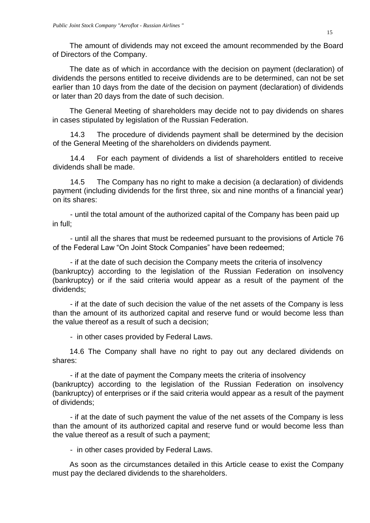The amount of dividends may not exceed the amount recommended by the Board of Directors of the Company.

The date as of which in accordance with the decision on payment (declaration) of dividends the persons entitled to receive dividends are to be determined, can not be set earlier than 10 days from the date of the decision on payment (declaration) of dividends or later than 20 days from the date of such decision.

The General Meeting of shareholders may decide not to pay dividends on shares in cases stipulated by legislation of the Russian Federation.

14.3 The procedure of dividends payment shall be determined by the decision of the General Meeting of the shareholders on dividends payment.

14.4 For each payment of dividends a list of shareholders entitled to receive dividends shall be made.

14.5 The Company has no right to make a decision (a declaration) of dividends payment (including dividends for the first three, six and nine months of a financial year) on its shares:

- until the total amount of the authorized capital of the Company has been paid up in full;

- until all the shares that must be redeemed pursuant to the provisions of Article 76 of the Federal Law "On Joint Stock Companies" have been redeemed;

- if at the date of such decision the Company meets the criteria of insolvency (bankruptcy) according to the legislation of the Russian Federation on insolvency (bankruptcy) or if the said criteria would appear as a result of the payment of the dividends;

- if at the date of such decision the value of the net assets of the Company is less than the amount of its authorized capital and reserve fund or would become less than the value thereof as a result of such a decision;

- in other cases provided by Federal Laws.

14.6 The Company shall have no right to pay out any declared dividends on shares:

- if at the date of payment the Company meets the criteria of insolvency (bankruptcy) according to the legislation of the Russian Federation on insolvency (bankruptcy) of enterprises or if the said criteria would appear as a result of the payment of dividends;

- if at the date of such payment the value of the net assets of the Company is less than the amount of its authorized capital and reserve fund or would become less than the value thereof as a result of such a payment;

- in other cases provided by Federal Laws.

As soon as the circumstances detailed in this Article cease to exist the Company must pay the declared dividends to the shareholders.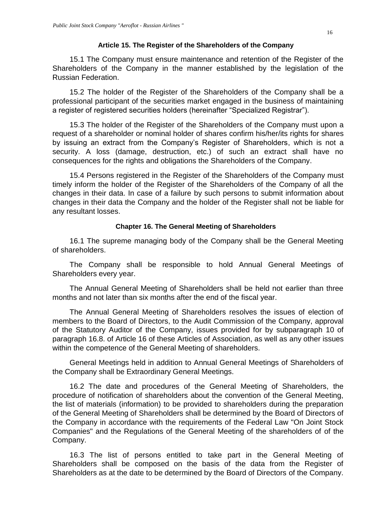### **Article 15. The Register of the Shareholders of the Company**

<span id="page-15-0"></span>15.1 The Company must ensure maintenance and retention of the Register of the Shareholders of the Company in the manner established by the legislation of the Russian Federation.

15.2 The holder of the Register of the Shareholders of the Company shall be a professional participant of the securities market engaged in the business of maintaining a register of registered securities holders (hereinafter "Specialized Registrar").

15.3 The holder of the Register of the Shareholders of the Company must upon a request of a shareholder or nominal holder of shares confirm his/her/its rights for shares by issuing an extract from the Company's Register of Shareholders, which is not a security. A loss (damage, destruction, etc.) of such an extract shall have no consequences for the rights and obligations the Shareholders of the Company.

15.4 Persons registered in the Register of the Shareholders of the Company must timely inform the holder of the Register of the Shareholders of the Company of all the changes in their data. In case of a failure by such persons to submit information about changes in their data the Company and the holder of the Register shall not be liable for any resultant losses.

## **Chapter 16. The General Meeting of Shareholders**

<span id="page-15-1"></span>16.1 The supreme managing body of the Company shall be the General Meeting of shareholders.

The Company shall be responsible to hold Annual General Meetings of Shareholders every year.

The Annual General Meeting of Shareholders shall be held not earlier than three months and not later than six months after the end of the fiscal year.

The Annual General Meeting of Shareholders resolves the issues of election of members to the Board of Directors, to the Audit Commission of the Company, approval of the Statutory Auditor of the Company, issues provided for by subparagraph 10 of paragraph 16.8. of Article 16 of these Articles of Association, as well as any other issues within the competence of the General Meeting of shareholders.

General Meetings held in addition to Annual General Meetings of Shareholders of the Company shall be Extraordinary General Meetings.

16.2 The date and procedures of the General Meeting of Shareholders, the procedure of notification of shareholders about the convention of the General Meeting, the list of materials (information) to be provided to shareholders during the preparation of the General Meeting of Shareholders shall be determined by the Board of Directors of the Company in accordance with the requirements of the Federal Law "On Joint Stock Companies" and the Regulations of the General Meeting of the shareholders of of the Company.

16.3 The list of persons entitled to take part in the General Meeting of Shareholders shall be composed on the basis of the data from the Register of Shareholders as at the date to be determined by the Board of Directors of the Company.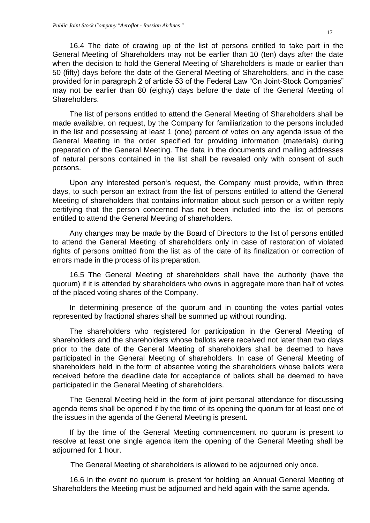16.4 The date of drawing up of the list of persons entitled to take part in the General Meeting of Shareholders may not be earlier than 10 (ten) days after the date when the decision to hold the General Meeting of Shareholders is made or earlier than 50 (fifty) days before the date of the General Meeting of Shareholders, and in the case provided for in paragraph 2 of article 53 of the Federal Law "On Joint-Stock Companies" may not be earlier than 80 (eighty) days before the date of the General Meeting of Shareholders.

The list of persons entitled to attend the General Meeting of Shareholders shall be made available, on request, by the Company for familiarization to the persons included in the list and possessing at least 1 (one) percent of votes on any agenda issue of the General Meeting in the order specified for providing information (materials) during preparation of the General Meeting. The data in the documents and mailing addresses of natural persons contained in the list shall be revealed only with consent of such persons.

Upon any interested person's request, the Company must provide, within three days, to such person an extract from the list of persons entitled to attend the General Meeting of shareholders that contains information about such person or a written reply certifying that the person concerned has not been included into the list of persons entitled to attend the General Meeting of shareholders.

Any changes may be made by the Board of Directors to the list of persons entitled to attend the General Meeting of shareholders only in case of restoration of violated rights of persons omitted from the list as of the date of its finalization or correction of errors made in the process of its preparation.

16.5 The General Meeting of shareholders shall have the authority (have the quorum) if it is attended by shareholders who owns in aggregate more than half of votes of the placed voting shares of the Company.

In determining presence of the quorum and in counting the votes partial votes represented by fractional shares shall be summed up without rounding.

The shareholders who registered for participation in the General Meeting of shareholders and the shareholders whose ballots were received not later than two days prior to the date of the General Meeting of shareholders shall be deemed to have participated in the General Meeting of shareholders. In case of General Meeting of shareholders held in the form of absentee voting the shareholders whose ballots were received before the deadline date for acceptance of ballots shall be deemed to have participated in the General Meeting of shareholders.

The General Meeting held in the form of joint personal attendance for discussing agenda items shall be opened if by the time of its opening the quorum for at least one of the issues in the agenda of the General Meeting is present.

If by the time of the General Meeting commencement no quorum is present to resolve at least one single agenda item the opening of the General Meeting shall be adjourned for 1 hour.

The General Meeting of shareholders is allowed to be adjourned only once.

16.6 In the event no quorum is present for holding an Annual General Meeting of Shareholders the Meeting must be adjourned and held again with the same agenda.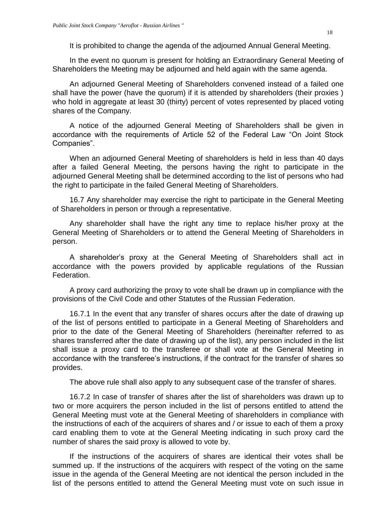It is prohibited to change the agenda of the adjourned Annual General Meeting.

In the event no quorum is present for holding an Extraordinary General Meeting of Shareholders the Meeting may be adjourned and held again with the same agenda.

An adjourned General Meeting of Shareholders convened instead of a failed one shall have the power (have the quorum) if it is attended by shareholders (their proxies ) who hold in aggregate at least 30 (thirty) percent of votes represented by placed voting shares of the Company.

A notice of the adjourned General Meeting of Shareholders shall be given in accordance with the requirements of Article 52 of the Federal Law "On Joint Stock Companies".

When an adjourned General Meeting of shareholders is held in less than 40 days after a failed General Meeting, the persons having the right to participate in the adjourned General Meeting shall be determined according to the list of persons who had the right to participate in the failed General Meeting of Shareholders.

16.7 Any shareholder may exercise the right to participate in the General Meeting of Shareholders in person or through a representative.

Any shareholder shall have the right any time to replace his/her proxy at the General Meeting of Shareholders or to attend the General Meeting of Shareholders in person.

A shareholder's proxy at the General Meeting of Shareholders shall act in accordance with the powers provided by applicable regulations of the Russian Federation.

A proxy card authorizing the proxy to vote shall be drawn up in compliance with the provisions of the Civil Code and other Statutes of the Russian Federation.

16.7.1 In the event that any transfer of shares occurs after the date of drawing up of the list of persons entitled to participate in a General Meeting of Shareholders and prior to the date of the General Meeting of Shareholders (hereinafter referred to as shares transferred after the date of drawing up of the list), any person included in the list shall issue a proxy card to the transferee or shall vote at the General Meeting in accordance with the transferee's instructions, if the contract for the transfer of shares so provides.

The above rule shall also apply to any subsequent case of the transfer of shares.

16.7.2 In case of transfer of shares after the list of shareholders was drawn up to two or more acquirers the person included in the list of persons entitled to attend the General Meeting must vote at the General Meeting of shareholders in compliance with the instructions of each of the acquirers of shares and / or issue to each of them a proxy card enabling them to vote at the General Meeting indicating in such proxy card the number of shares the said proxy is allowed to vote by.

If the instructions of the acquirers of shares are identical their votes shall be summed up. If the instructions of the acquirers with respect of the voting on the same issue in the agenda of the General Meeting are not identical the person included in the list of the persons entitled to attend the General Meeting must vote on such issue in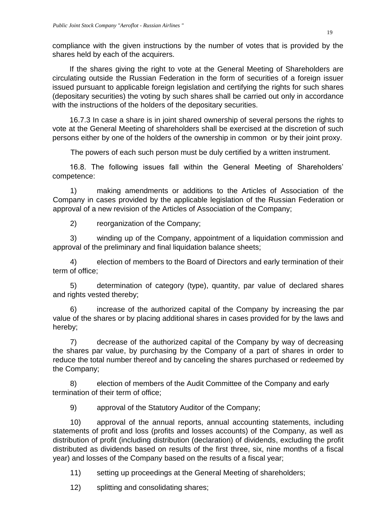compliance with the given instructions by the number of votes that is provided by the shares held by each of the acquirers.

If the shares giving the right to vote at the General Meeting of Shareholders are circulating outside the Russian Federation in the form of securities of a foreign issuer issued pursuant to applicable foreign legislation and certifying the rights for such shares (depositary securities) the voting by such shares shall be carried out only in accordance with the instructions of the holders of the depositary securities.

16.7.3 In case a share is in joint shared ownership of several persons the rights to vote at the General Meeting of shareholders shall be exercised at the discretion of such persons either by one of the holders of the ownership in common or by their joint proxy.

The powers of each such person must be duly certified by a written instrument.

16.8. The following issues fall within the General Meeting of Shareholders' competence:

1) making amendments or additions to the Articles of Association of the Company in cases provided by the applicable legislation of the Russian Federation or approval of a new revision of the Articles of Association of the Company;

2) reorganization of the Company;

3) winding up of the Company, appointment of a liquidation commission and approval of the preliminary and final liquidation balance sheets;

4) election of members to the Board of Directors and early termination of their term of office;

5) determination of category (type), quantity, par value of declared shares and rights vested thereby;

6) increase of the authorized capital of the Company by increasing the par value of the shares or by placing additional shares in cases provided for by the laws and hereby;

7) decrease of the authorized capital of the Company by way of decreasing the shares par value, by purchasing by the Company of a part of shares in order to reduce the total number thereof and by canceling the shares purchased or redeemed by the Company;

8) election of members of the Audit Committee of the Company and early termination of their term of office;

9) approval of the Statutory Auditor of the Company;

10) approval of the annual reports, annual accounting statements, including statements of profit and loss (profits and losses accounts) of the Company, as well as distribution of profit (including distribution (declaration) of dividends, excluding the profit distributed as dividends based on results of the first three, six, nine months of a fiscal year) and losses of the Company based on the results of a fiscal year;

11) setting up proceedings at the General Meeting of shareholders;

12) splitting and consolidating shares;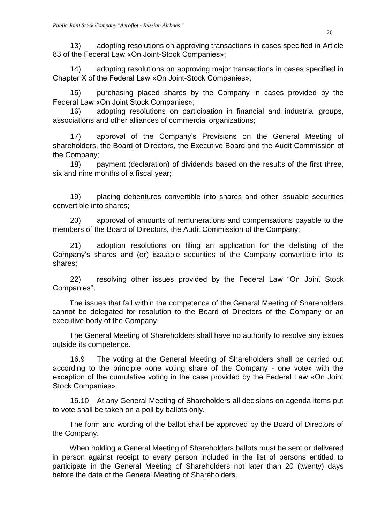13) adopting resolutions on approving transactions in cases specified in Article 83 of the Federal Law «On Joint-Stock Companies»;

14) adopting resolutions on approving major transactions in cases specified in Chapter X of the Federal Law «On Joint-Stock Companies»;

15) purchasing placed shares by the Company in cases provided by the Federal Law «On Joint Stock Companies»;

16) adopting resolutions on participation in financial and industrial groups, associations and other alliances of commercial organizations;

17) approval of the Company's Provisions on the General Meeting of shareholders, the Board of Directors, the Executive Board and the Audit Commission of the Company;

18) payment (declaration) of dividends based on the results of the first three, six and nine months of a fiscal year;

19) placing debentures convertible into shares and other issuable securities convertible into shares;

20) approval of amounts of remunerations and compensations payable to the members of the Board of Directors, the Audit Commission of the Company;

21) adoption resolutions on filing an application for the delisting of the Company's shares and (or) issuable securities of the Company convertible into its shares;

22) resolving other issues provided by the Federal Law "On Joint Stock Companies".

The issues that fall within the competence of the General Meeting of Shareholders cannot be delegated for resolution to the Board of Directors of the Company or an executive body of the Company.

The General Meeting of Shareholders shall have no authority to resolve any issues outside its competence.

16.9 The voting at the General Meeting of Shareholders shall be carried out according to the principle «one voting share of the Company - one vote» with the exception of the cumulative voting in the case provided by the Federal Law «On Joint Stock Companies».

16.10 At any General Meeting of Shareholders all decisions on agenda items put to vote shall be taken on a poll by ballots only.

The form and wording of the ballot shall be approved by the Board of Directors of the Company.

When holding a General Meeting of Shareholders ballots must be sent or delivered in person against receipt to every person included in the list of persons entitled to participate in the General Meeting of Shareholders not later than 20 (twenty) days before the date of the General Meeting of Shareholders.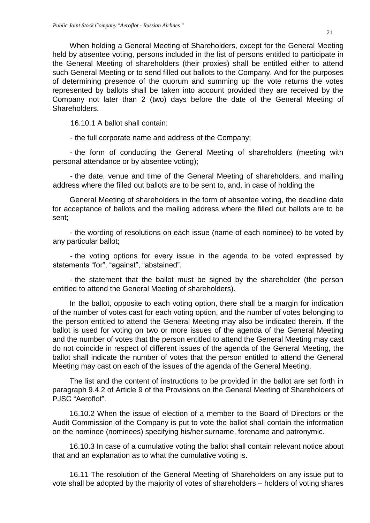When holding a General Meeting of Shareholders, except for the General Meeting held by absentee voting, persons included in the list of persons entitled to participate in the General Meeting of shareholders (their proxies) shall be entitled either to attend such General Meeting or to send filled out ballots to the Company. And for the purposes of determining presence of the quorum and summing up the vote returns the votes represented by ballots shall be taken into account provided they are received by the Company not later than 2 (two) days before the date of the General Meeting of Shareholders.

16.10.1 A ballot shall contain:

- the full corporate name and address of the Company;

- the form of conducting the General Meeting of shareholders (meeting with personal attendance or by absentee voting);

- the date, venue and time of the General Meeting of shareholders, and mailing address where the filled out ballots are to be sent to, and, in case of holding the

General Meeting of shareholders in the form of absentee voting, the deadline date for acceptance of ballots and the mailing address where the filled out ballots are to be sent;

- the wording of resolutions on each issue (name of each nominee) to be voted by any particular ballot;

- the voting options for every issue in the agenda to be voted expressed by statements "for", "against", "abstained".

- the statement that the ballot must be signed by the shareholder (the person entitled to attend the General Meeting of shareholders).

In the ballot, opposite to each voting option, there shall be a margin for indication of the number of votes cast for each voting option, and the number of votes belonging to the person entitled to attend the General Meeting may also be indicated therein. If the ballot is used for voting on two or more issues of the agenda of the General Meeting and the number of votes that the person entitled to attend the General Meeting may cast do not coincide in respect of different issues of the agenda of the General Meeting, the ballot shall indicate the number of votes that the person entitled to attend the General Meeting may cast on each of the issues of the agenda of the General Meeting.

The list and the content of instructions to be provided in the ballot are set forth in paragraph 9.4.2 of Article 9 of the Provisions on the General Meeting of Shareholders of PJSC "Aeroflot".

16.10.2 When the issue of election of a member to the Board of Directors or the Audit Commission of the Company is put to vote the ballot shall contain the information on the nominee (nominees) specifying his/her surname, forename and patronymic.

16.10.3 In case of a cumulative voting the ballot shall contain relevant notice about that and an explanation as to what the cumulative voting is.

16.11 The resolution of the General Meeting of Shareholders on any issue put to vote shall be adopted by the majority of votes of shareholders – holders of voting shares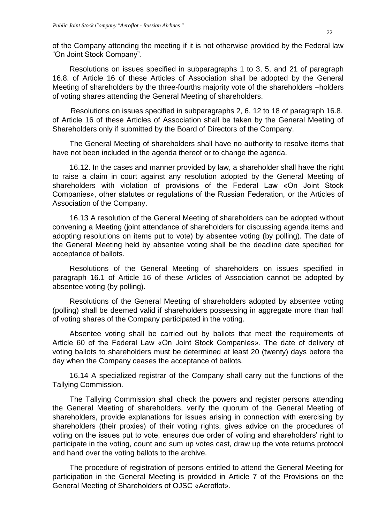of the Company attending the meeting if it is not otherwise provided by the Federal law "On Joint Stock Company".

Resolutions on issues specified in subparagraphs 1 to 3, 5, and 21 of paragraph 16.8. of Article 16 of these Articles of Association shall be adopted by the General Meeting of shareholders by the three-fourths majority vote of the shareholders –holders of voting shares attending the General Meeting of shareholders.

Resolutions on issues specified in subparagraphs 2, 6, 12 to 18 of paragraph 16.8. of Article 16 of these Articles of Association shall be taken by the General Meeting of Shareholders only if submitted by the Board of Directors of the Company.

The General Meeting of shareholders shall have no authority to resolve items that have not been included in the agenda thereof or to change the agenda.

16.12. In the cases and manner provided by law, a shareholder shall have the right to raise a claim in court against any resolution adopted by the General Meeting of shareholders with violation of provisions of the Federal Law «On Joint Stock Companies», other statutes or regulations of the Russian Federation, or the Articles of Association of the Company.

16.13 A resolution of the General Meeting of shareholders can be adopted without convening a Meeting (joint attendance of shareholders for discussing agenda items and adopting resolutions on items put to vote) by absentee voting (by polling). The date of the General Meeting held by absentee voting shall be the deadline date specified for acceptance of ballots.

Resolutions of the General Meeting of shareholders on issues specified in paragraph 16.1 of Article 16 of these Articles of Association cannot be adopted by absentee voting (by polling).

Resolutions of the General Meeting of shareholders adopted by absentee voting (polling) shall be deemed valid if shareholders possessing in aggregate more than half of voting shares of the Company participated in the voting.

Absentee voting shall be carried out by ballots that meet the requirements of Article 60 of the Federal Law «On Joint Stock Companies». The date of delivery of voting ballots to shareholders must be determined at least 20 (twenty) days before the day when the Company ceases the acceptance of ballots.

16.14 A specialized registrar of the Company shall carry out the functions of the Tallying Commission.

The Tallying Commission shall check the powers and register persons attending the General Meeting of shareholders, verify the quorum of the General Meeting of shareholders, provide explanations for issues arising in connection with exercising by shareholders (their proxies) of their voting rights, gives advice on the procedures of voting on the issues put to vote, ensures due order of voting and shareholders' right to participate in the voting, count and sum up votes cast, draw up the vote returns protocol and hand over the voting ballots to the archive.

The procedure of registration of persons entitled to attend the General Meeting for participation in the General Meeting is provided in Article 7 of the Provisions on the General Meeting of Shareholders of OJSC «Aeroflot».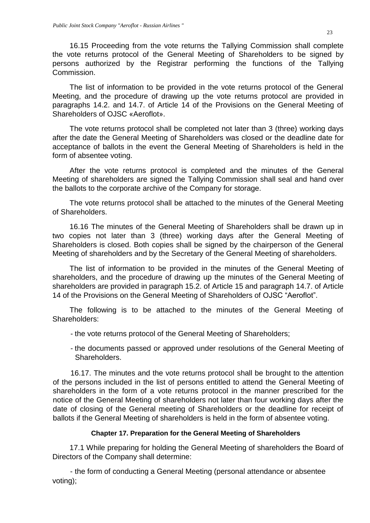16.15 Proceeding from the vote returns the Tallying Commission shall complete the vote returns protocol of the General Meeting of Shareholders to be signed by persons authorized by the Registrar performing the functions of the Tallying Commission.

The list of information to be provided in the vote returns protocol of the General Meeting, and the procedure of drawing up the vote returns protocol are provided in paragraphs 14.2. and 14.7. of Article 14 of the Provisions on the General Meeting of Shareholders of OJSC «Aeroflot».

The vote returns protocol shall be completed not later than 3 (three) working days after the date the General Meeting of Shareholders was closed or the deadline date for acceptance of ballots in the event the General Meeting of Shareholders is held in the form of absentee voting.

After the vote returns protocol is completed and the minutes of the General Meeting of shareholders are signed the Tallying Commission shall seal and hand over the ballots to the corporate archive of the Company for storage.

The vote returns protocol shall be attached to the minutes of the General Meeting of Shareholders.

16.16 The minutes of the General Meeting of Shareholders shall be drawn up in two copies not later than 3 (three) working days after the General Meeting of Shareholders is closed. Both copies shall be signed by the chairperson of the General Meeting of shareholders and by the Secretary of the General Meeting of shareholders.

The list of information to be provided in the minutes of the General Meeting of shareholders, and the procedure of drawing up the minutes of the General Meeting of shareholders are provided in paragraph 15.2. of Article 15 and paragraph 14.7. of Article 14 of the Provisions on the General Meeting of Shareholders of OJSC "Aeroflot".

The following is to be attached to the minutes of the General Meeting of Shareholders:

- the vote returns protocol of the General Meeting of Shareholders;
- the documents passed or approved under resolutions of the General Meeting of Shareholders.

16.17. The minutes and the vote returns protocol shall be brought to the attention of the persons included in the list of persons entitled to attend the General Meeting of shareholders in the form of a vote returns protocol in the manner prescribed for the notice of the General Meeting of shareholders not later than four working days after the date of closing of the General meeting of Shareholders or the deadline for receipt of ballots if the General Meeting of shareholders is held in the form of absentee voting.

# **Chapter 17. Preparation for the General Meeting of Shareholders**

<span id="page-22-0"></span>17.1 While preparing for holding the General Meeting of shareholders the Board of Directors of the Company shall determine:

- the form of conducting a General Meeting (personal attendance or absentee voting);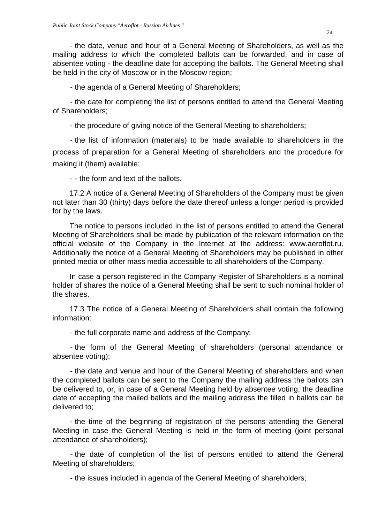- the date, venue and hour of a General Meeting of Shareholders, as well as the mailing address to which the completed ballots can be forwarded, and in case of absentee voting - the deadline date for accepting the ballots. The General Meeting shall be held in the city of Moscow or in the Moscow region;

- the agenda of a General Meeting of Shareholders;

- the date for completing the list of persons entitled to attend the General Meeting of Shareholders;

- the procedure of giving notice of the General Meeting to shareholders;

- the list of information (materials) to be made available to shareholders in the process of preparation for a General Meeting of shareholders and the procedure for making it (them) available;

- - the form and text of the ballots.

17.2 A notice of a General Meeting of Shareholders of the Company must be given not later than 30 (thirty) days before the date thereof unless a longer period is provided for by the laws.

The notice to persons included in the list of persons entitled to attend the General Meeting of Shareholders shall be made by publication of the relevant information on the official website of the Company in the Internet at the address: www.aeroflot.ru. Additionally the notice of a General Meeting of Shareholders may be published in other printed media or other mass media accessible to all shareholders of the Company.

In case a person registered in the Company Register of Shareholders is a nominal holder of shares the notice of a General Meeting shall be sent to such nominal holder of the shares.

17.3 The notice of a General Meeting of Shareholders shall contain the following information:

- the full corporate name and address of the Company;

- the form of the General Meeting of shareholders (personal attendance or absentee voting);

- the date and venue and hour of the General Meeting of shareholders and when the completed ballots can be sent to the Company the mailing address the ballots can be delivered to, or, in case of a General Meeting held by absentee voting, the deadline date of accepting the mailed ballots and the mailing address the filled in ballots can be delivered to;

- the time of the beginning of registration of the persons attending the General Meeting in case the General Meeting is held in the form of meeting (joint personal attendance of shareholders);

- the date of completion of the list of persons entitled to attend the General Meeting of shareholders;

- the issues included in agenda of the General Meeting of shareholders;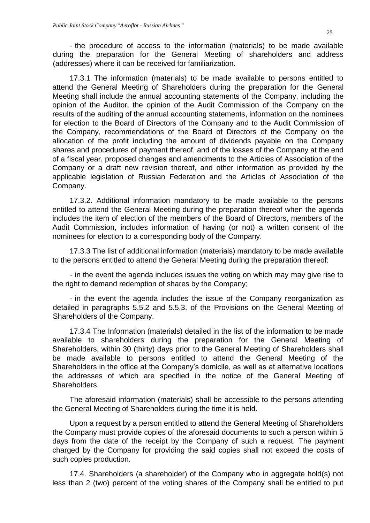- the procedure of access to the information (materials) to be made available during the preparation for the General Meeting of shareholders and address (addresses) where it can be received for familiarization.

17.3.1 The information (materials) to be made available to persons entitled to attend the General Meeting of Shareholders during the preparation for the General Meeting shall include the annual accounting statements of the Company, including the opinion of the Auditor, the opinion of the Audit Commission of the Company on the results of the auditing of the annual accounting statements, information on the nominees for election to the Board of Directors of the Company and to the Audit Commission of the Company, recommendations of the Board of Directors of the Company on the allocation of the profit including the amount of dividends payable on the Company shares and procedures of payment thereof, and of the losses of the Company at the end of a fiscal year, proposed changes and amendments to the Articles of Association of the Company or a draft new revision thereof, and other information as provided by the applicable legislation of Russian Federation and the Articles of Association of the Company.

17.3.2. Additional information mandatory to be made available to the persons entitled to attend the General Meeting during the preparation thereof when the agenda includes the item of election of the members of the Board of Directors, members of the Audit Commission, includes information of having (or not) a written consent of the nominees for election to a corresponding body of the Company.

17.3.3 The list of additional information (materials) mandatory to be made available to the persons entitled to attend the General Meeting during the preparation thereof:

- in the event the agenda includes issues the voting on which may may give rise to the right to demand redemption of shares by the Company;

- in the event the agenda includes the issue of the Company reorganization as detailed in paragraphs 5.5.2 and 5.5.3. of the Provisions on the General Meeting of Shareholders of the Company.

17.3.4 The Information (materials) detailed in the list of the information to be made available to shareholders during the preparation for the General Meeting of Shareholders, within 30 (thirty) days prior to the General Meeting of Shareholders shall be made available to persons entitled to attend the General Meeting of the Shareholders in the office at the Company's domicile, as well as at alternative locations the addresses of which are specified in the notice of the General Meeting of Shareholders.

The aforesaid information (materials) shall be accessible to the persons attending the General Meeting of Shareholders during the time it is held.

Upon a request by a person entitled to attend the General Meeting of Shareholders the Company must provide copies of the aforesaid documents to such a person within 5 days from the date of the receipt by the Company of such a request. The payment charged by the Company for providing the said copies shall not exceed the costs of such copies production.

17.4. Shareholders (a shareholder) of the Company who in aggregate hold(s) not less than 2 (two) percent of the voting shares of the Company shall be entitled to put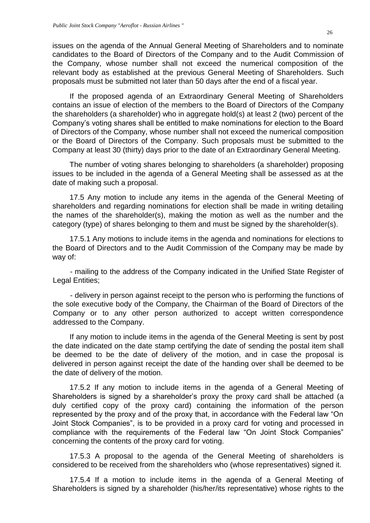issues on the agenda of the Annual General Meeting of Shareholders and to nominate candidates to the Board of Directors of the Company and to the Audit Commission of the Company, whose number shall not exceed the numerical composition of the relevant body as established at the previous General Meeting of Shareholders. Such proposals must be submitted not later than 50 days after the end of a fiscal year.

If the proposed agenda of an Extraordinary General Meeting of Shareholders contains an issue of election of the members to the Board of Directors of the Company the shareholders (a shareholder) who in aggregate hold(s) at least 2 (two) percent of the Company's voting shares shall be entitled to make nominations for election to the Board of Directors of the Company, whose number shall not exceed the numerical composition or the Board of Directors of the Company. Such proposals must be submitted to the Company at least 30 (thirty) days prior to the date of an Extraordinary General Meeting.

The number of voting shares belonging to shareholders (a shareholder) proposing issues to be included in the agenda of a General Meeting shall be assessed as at the date of making such a proposal.

17.5 Any motion to include any items in the agenda of the General Meeting of shareholders and regarding nominations for election shall be made in writing detailing the names of the shareholder(s), making the motion as well as the number and the category (type) of shares belonging to them and must be signed by the shareholder(s).

17.5.1 Any motions to include items in the agenda and nominations for elections to the Board of Directors and to the Audit Commission of the Company may be made by way of:

- mailing to the address of the Company indicated in the Unified State Register of Legal Entities;

- delivery in person against receipt to the person who is performing the functions of the sole executive body of the Company, the Chairman of the Board of Directors of the Company or to any other person authorized to accept written correspondence addressed to the Company.

If any motion to include items in the agenda of the General Meeting is sent by post the date indicated on the date stamp certifying the date of sending the postal item shall be deemed to be the date of delivery of the motion, and in case the proposal is delivered in person against receipt the date of the handing over shall be deemed to be the date of delivery of the motion.

17.5.2 If any motion to include items in the agenda of a General Meeting of Shareholders is signed by a shareholder's proxy the proxy card shall be attached (a duly certified copy of the proxy card) containing the information of the person represented by the proxy and of the proxy that, in accordance with the Federal law "On Joint Stock Companies", is to be provided in a proxy card for voting and processed in compliance with the requirements of the Federal law "On Joint Stock Companies" concerning the contents of the proxy card for voting.

17.5.3 A proposal to the agenda of the General Meeting of shareholders is considered to be received from the shareholders who (whose representatives) signed it.

17.5.4 If a motion to include items in the agenda of a General Meeting of Shareholders is signed by a shareholder (his/her/its representative) whose rights to the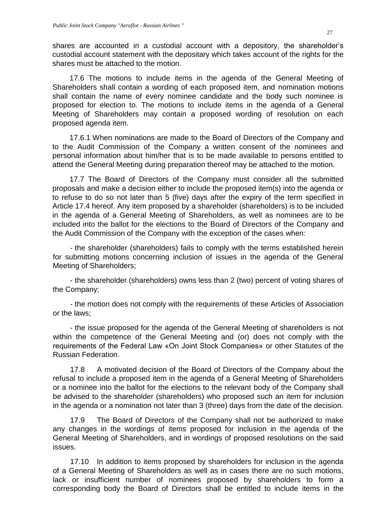shares are accounted in a custodial account with a depository, the shareholder's custodial account statement with the depositary which takes account of the rights for the shares must be attached to the motion.

17.6 The motions to include items in the agenda of the General Meeting of Shareholders shall contain a wording of each proposed item, and nomination motions shall contain the name of every nominee candidate and the body such nominee is proposed for election to. The motions to include items in the agenda of a General Meeting of Shareholders may contain a proposed wording of resolution on each proposed agenda item.

17.6.1 When nominations are made to the Board of Directors of the Company and to the Audit Commission of the Company a written consent of the nominees and personal information about him/her that is to be made available to persons entitled to attend the General Meeting during preparation thereof may be attached to the motion.

17.7 The Board of Directors of the Company must consider all the submitted proposals and make a decision either to include the proposed item(s) into the agenda or to refuse to do so not later than 5 (five) days after the expiry of the term specified in Article 17.4 hereof. Any item proposed by a shareholder (shareholders) is to be included in the agenda of a General Meeting of Shareholders, as well as nominees are to be included into the ballot for the elections to the Board of Directors of the Company and the Audit Commission of the Company with the exception of the cases when:

- the shareholder (shareholders) fails to comply with the terms established herein for submitting motions concerning inclusion of issues in the agenda of the General Meeting of Shareholders;

- the shareholder (shareholders) owns less than 2 (two) percent of voting shares of the Company;

- the motion does not comply with the requirements of these Articles of Association or the laws;

- the issue proposed for the agenda of the General Meeting of shareholders is not within the competence of the General Meeting and (or) does not comply with the requirements of the Federal Law «On Joint Stock Companies» or other Statutes of the Russian Federation.

17.8 A motivated decision of the Board of Directors of the Company about the refusal to include a proposed item in the agenda of a General Meeting of Shareholders or a nominee into the ballot for the elections to the relevant body of the Company shall be advised to the shareholder (shareholders) who proposed such an item for inclusion in the agenda or a nomination not later than 3 (three) days from the date of the decision.

17.9 The Board of Directors of the Company shall not be authorized to make any changes in the wordings of items proposed for inclusion in the agenda of the General Meeting of Shareholders, and in wordings of proposed resolutions on the said issues.

17.10 In addition to items proposed by shareholders for inclusion in the agenda of a General Meeting of Shareholders as well as in cases there are no such motions, lack or insufficient number of nominees proposed by shareholders to form a corresponding body the Board of Directors shall be entitled to include items in the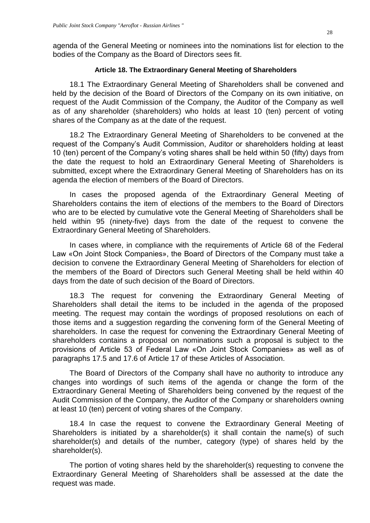agenda of the General Meeting or nominees into the nominations list for election to the bodies of the Company as the Board of Directors sees fit.

# **Article 18. The Extraordinary General Meeting of Shareholders**

<span id="page-27-0"></span>18.1 The Extraordinary General Meeting of Shareholders shall be convened and held by the decision of the Board of Directors of the Company on its own initiative, on request of the Audit Commission of the Company, the Auditor of the Company as well as of any shareholder (shareholders) who holds at least 10 (ten) percent of voting shares of the Company as at the date of the request.

18.2 The Extraordinary General Meeting of Shareholders to be convened at the request of the Company's Audit Commission, Auditor or shareholders holding at least 10 (ten) percent of the Company's voting shares shall be held within 50 (fifty) days from the date the request to hold an Extraordinary General Meeting of Shareholders is submitted, except where the Extraordinary General Meeting of Shareholders has on its agenda the election of members of the Board of Directors.

In cases the proposed agenda of the Extraordinary General Meeting of Shareholders contains the item of elections of the members to the Board of Directors who are to be elected by cumulative vote the General Meeting of Shareholders shall be held within 95 (ninety-five) days from the date of the request to convene the Extraordinary General Meeting of Shareholders.

In cases where, in compliance with the requirements of Article 68 of the Federal Law «On Joint Stock Companies», the Board of Directors of the Company must take a decision to convene the Extraordinary General Meeting of Shareholders for election of the members of the Board of Directors such General Meeting shall be held within 40 days from the date of such decision of the Board of Directors.

18.3 The request for convening the Extraordinary General Meeting of Shareholders shall detail the items to be included in the agenda of the proposed meeting. The request may contain the wordings of proposed resolutions on each of those items and a suggestion regarding the convening form of the General Meeting of shareholders. In case the request for convening the Extraordinary General Meeting of shareholders contains a proposal on nominations such a proposal is subject to the provisions of Article 53 of Federal Law «On Joint Stock Companies» as well as of paragraphs 17.5 and 17.6 of Article 17 of these Articles of Association.

The Board of Directors of the Company shall have no authority to introduce any changes into wordings of such items of the agenda or change the form of the Extraordinary General Meeting of Shareholders being convened by the request of the Audit Commission of the Company, the Auditor of the Company or shareholders owning at least 10 (ten) percent of voting shares of the Company.

18.4 In case the request to convene the Extraordinary General Meeting of Shareholders is initiated by a shareholder(s) it shall contain the name(s) of such shareholder(s) and details of the number, category (type) of shares held by the shareholder(s).

The portion of voting shares held by the shareholder(s) requesting to convene the Extraordinary General Meeting of Shareholders shall be assessed at the date the request was made.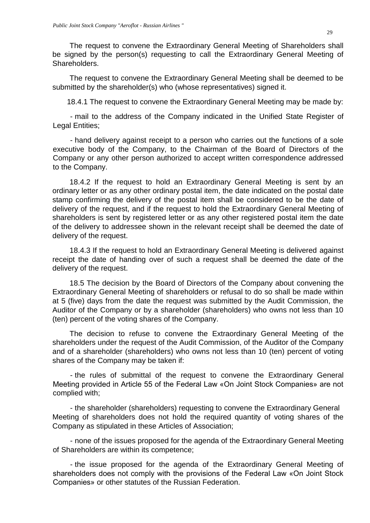The request to convene the Extraordinary General Meeting of Shareholders shall be signed by the person(s) requesting to call the Extraordinary General Meeting of Shareholders.

The request to convene the Extraordinary General Meeting shall be deemed to be submitted by the shareholder(s) who (whose representatives) signed it.

18.4.1 The request to convene the Extraordinary General Meeting may be made by:

- mail to the address of the Company indicated in the Unified State Register of Legal Entities;

- hand delivery against receipt to a person who carries out the functions of a sole executive body of the Company, to the Chairman of the Board of Directors of the Company or any other person authorized to accept written correspondence addressed to the Company.

18.4.2 If the request to hold an Extraordinary General Meeting is sent by an ordinary letter or as any other ordinary postal item, the date indicated on the postal date stamp confirming the delivery of the postal item shall be considered to be the date of delivery of the request, and if the request to hold the Extraordinary General Meeting of shareholders is sent by registered letter or as any other registered postal item the date of the delivery to addressee shown in the relevant receipt shall be deemed the date of delivery of the request.

18.4.3 If the request to hold an Extraordinary General Meeting is delivered against receipt the date of handing over of such a request shall be deemed the date of the delivery of the request.

18.5 The decision by the Board of Directors of the Company about convening the Extraordinary General Meeting of shareholders or refusal to do so shall be made within at 5 (five) days from the date the request was submitted by the Audit Commission, the Auditor of the Company or by a shareholder (shareholders) who owns not less than 10 (ten) percent of the voting shares of the Company.

The decision to refuse to convene the Extraordinary General Meeting of the shareholders under the request of the Audit Commission, of the Auditor of the Company and of a shareholder (shareholders) who owns not less than 10 (ten) percent of voting shares of the Company may be taken if:

- the rules of submittal of the request to convene the Extraordinary General Meeting provided in Article 55 of the Federal Law «On Joint Stock Companies» are not complied with;

- the shareholder (shareholders) requesting to convene the Extraordinary General Meeting of shareholders does not hold the required quantity of voting shares of the Company as stipulated in these Articles of Association;

- none of the issues proposed for the agenda of the Extraordinary General Meeting of Shareholders are within its competence;

- the issue proposed for the agenda of the Extraordinary General Meeting of shareholders does not comply with the provisions of the Federal Law «On Joint Stock Companies» or other statutes of the Russian Federation.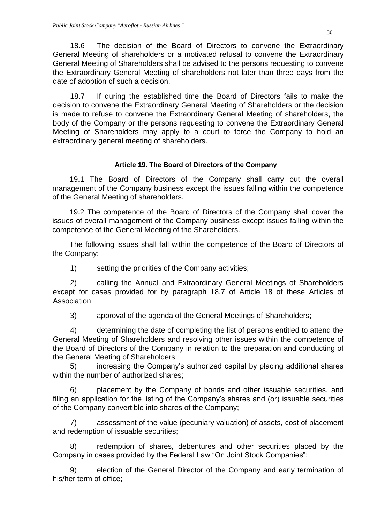18.6 The decision of the Board of Directors to convene the Extraordinary General Meeting of shareholders or a motivated refusal to convene the Extraordinary General Meeting of Shareholders shall be advised to the persons requesting to convene the Extraordinary General Meeting of shareholders not later than three days from the date of adoption of such a decision.

18.7 If during the established time the Board of Directors fails to make the decision to convene the Extraordinary General Meeting of Shareholders or the decision is made to refuse to convene the Extraordinary General Meeting of shareholders, the body of the Company or the persons requesting to convene the Extraordinary General Meeting of Shareholders may apply to a court to force the Company to hold an extraordinary general meeting of shareholders.

### **Article 19. The Board of Directors of the Company**

<span id="page-29-0"></span>19.1 The Board of Directors of the Company shall carry out the overall management of the Company business except the issues falling within the competence of the General Meeting of shareholders.

19.2 The competence of the Board of Directors of the Company shall cover the issues of overall management of the Company business except issues falling within the competence of the General Meeting of the Shareholders.

The following issues shall fall within the competence of the Board of Directors of the Company:

1) setting the priorities of the Company activities;

2) calling the Annual and Extraordinary General Meetings of Shareholders except for cases provided for by paragraph 18.7 of Article 18 of these Articles of Association;

3) approval of the agenda of the General Meetings of Shareholders;

4) determining the date of completing the list of persons entitled to attend the General Meeting of Shareholders and resolving other issues within the competence of the Board of Directors of the Company in relation to the preparation and conducting of the General Meeting of Shareholders;

5) increasing the Company's authorized capital by placing additional shares within the number of authorized shares;

6) placement by the Company of bonds and other issuable securities, and filing an application for the listing of the Company's shares and (or) issuable securities of the Company convertible into shares of the Company;

7) assessment of the value (pecuniary valuation) of assets, cost of placement and redemption of issuable securities;

8) redemption of shares, debentures and other securities placed by the Company in cases provided by the Federal Law "On Joint Stock Companies";

9) election of the General Director of the Company and early termination of his/her term of office;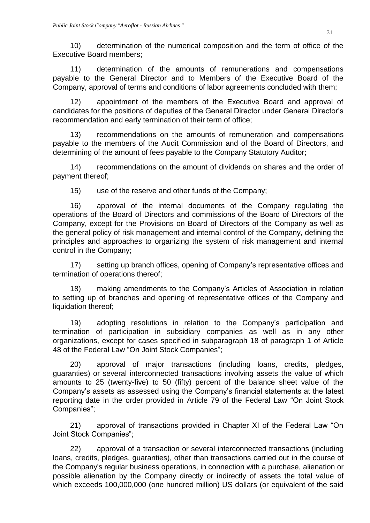10) determination of the numerical composition and the term of office of the Executive Board members;

11) determination of the amounts of remunerations and compensations payable to the General Director and to Members of the Executive Board of the Company, approval of terms and conditions of labor agreements concluded with them;

12) appointment of the members of the Executive Board and approval of candidates for the positions of deputies of the General Director under General Director's recommendation and early termination of their term of office;

13) recommendations on the amounts of remuneration and compensations payable to the members of the Audit Commission and of the Board of Directors, and determining of the amount of fees payable to the Company Statutory Auditor;

14) recommendations on the amount of dividends on shares and the order of payment thereof;

15) use of the reserve and other funds of the Company;

16) approval of the internal documents of the Company regulating the operations of the Board of Directors and commissions of the Board of Directors of the Company, except for the Provisions on Board of Directors of the Company as well as the general policy of risk management and internal control of the Company, defining the principles and approaches to organizing the system of risk management and internal control in the Company;

17) setting up branch offices, opening of Company's representative offices and termination of operations thereof;

18) making amendments to the Company's Articles of Association in relation to setting up of branches and opening of representative offices of the Company and liquidation thereof;

19) adopting resolutions in relation to the Company's participation and termination of participation in subsidiary companies as well as in any other organizations, except for cases specified in subparagraph 18 of paragraph 1 of Article 48 of the Federal Law "On Joint Stock Companies";

20) approval of major transactions (including loans, credits, pledges, guaranties) or several interconnected transactions involving assets the value of which amounts to 25 (twenty-five) to 50 (fifty) percent of the balance sheet value of the Company's assets as assessed using the Company's financial statements at the latest reporting date in the order provided in Article 79 of the Federal Law "On Joint Stock Companies";

21) approval of transactions provided in Chapter XI of the Federal Law "On Joint Stock Companies";

22) approval of a transaction or several interconnected transactions (including loans, credits, pledges, guaranties), other than transactions carried out in the course of the Company's regular business operations, in connection with a purchase, alienation or possible alienation by the Company directly or indirectly of assets the total value of which exceeds 100,000,000 (one hundred million) US dollars (or equivalent of the said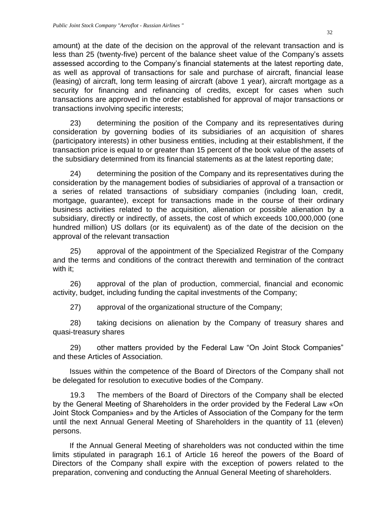amount) at the date of the decision on the approval of the relevant transaction and is less than 25 (twenty-five) percent of the balance sheet value of the Company's assets assessed according to the Company's financial statements at the latest reporting date, as well as approval of transactions for sale and purchase of aircraft, financial lease (leasing) of aircraft, long term leasing of aircraft (above 1 year), aircraft mortgage as a security for financing and refinancing of credits, except for cases when such transactions are approved in the order established for approval of major transactions or transactions involving specific interests;

23) determining the position of the Company and its representatives during consideration by governing bodies of its subsidiaries of an acquisition of shares (participatory interests) in other business entities, including at their establishment, if the transaction price is equal to or greater than 15 percent of the book value of the assets of the subsidiary determined from its financial statements as at the latest reporting date;

24) determining the position of the Company and its representatives during the consideration by the management bodies of subsidiaries of approval of a transaction or a series of related transactions of subsidiary companies (including loan, credit, mortgage, guarantee), except for transactions made in the course of their ordinary business activities related to the acquisition, alienation or possible alienation by a subsidiary, directly or indirectly, of assets, the cost of which exceeds 100,000,000 (one hundred million) US dollars (or its equivalent) as of the date of the decision on the approval of the relevant transaction

25) approval of the appointment of the Specialized Registrar of the Company and the terms and conditions of the contract therewith and termination of the contract with it:

26) approval of the plan of production, commercial, financial and economic activity, budget, including funding the capital investments of the Company;

27) approval of the organizational structure of the Company;

28) taking decisions on alienation by the Company of treasury shares and quasi-treasury shares

29) other matters provided by the Federal Law "On Joint Stock Companies" and these Articles of Association.

Issues within the competence of the Board of Directors of the Company shall not be delegated for resolution to executive bodies of the Company.

19.3 The members of the Board of Directors of the Company shall be elected by the General Meeting of Shareholders in the order provided by the Federal Law «On Joint Stock Companies» and by the Articles of Association of the Company for the term until the next Annual General Meeting of Shareholders in the quantity of 11 (eleven) persons.

If the Annual General Meeting of shareholders was not conducted within the time limits stipulated in paragraph 16.1 of Article 16 hereof the powers of the Board of Directors of the Company shall expire with the exception of powers related to the preparation, convening and conducting the Annual General Meeting of shareholders.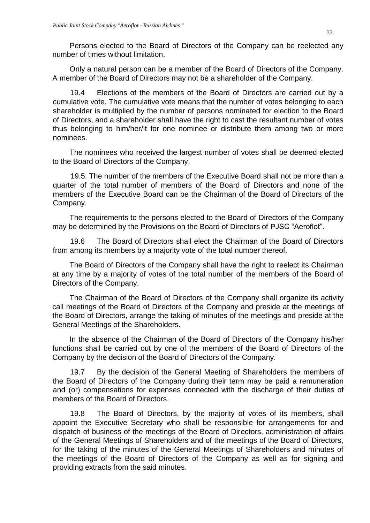Persons elected to the Board of Directors of the Company can be reelected any number of times without limitation.

Only a natural person can be a member of the Board of Directors of the Company. A member of the Board of Directors may not be a shareholder of the Company.

19.4 Elections of the members of the Board of Directors are carried out by a cumulative vote. The cumulative vote means that the number of votes belonging to each shareholder is multiplied by the number of persons nominated for election to the Board of Directors, and a shareholder shall have the right to cast the resultant number of votes thus belonging to him/her/it for one nominee or distribute them among two or more nominees.

The nominees who received the largest number of votes shall be deemed elected to the Board of Directors of the Company.

19.5. The number of the members of the Executive Board shall not be more than a quarter of the total number of members of the Board of Directors and none of the members of the Executive Board can be the Chairman of the Board of Directors of the Company.

The requirements to the persons elected to the Board of Directors of the Company may be determined by the Provisions on the Board of Directors of PJSC "Aeroflot".

19.6 The Board of Directors shall elect the Chairman of the Board of Directors from among its members by a majority vote of the total number thereof.

The Board of Directors of the Company shall have the right to reelect its Chairman at any time by a majority of votes of the total number of the members of the Board of Directors of the Company.

The Chairman of the Board of Directors of the Company shall organize its activity call meetings of the Board of Directors of the Company and preside at the meetings of the Board of Directors, arrange the taking of minutes of the meetings and preside at the General Meetings of the Shareholders.

In the absence of the Chairman of the Board of Directors of the Company his/her functions shall be carried out by one of the members of the Board of Directors of the Company by the decision of the Board of Directors of the Company.

19.7 By the decision of the General Meeting of Shareholders the members of the Board of Directors of the Company during their term may be paid a remuneration and (or) compensations for expenses connected with the discharge of their duties of members of the Board of Directors.

19.8 The Board of Directors, by the majority of votes of its members, shall appoint the Executive Secretary who shall be responsible for arrangements for and dispatch of business of the meetings of the Board of Directors, administration of affairs of the General Meetings of Shareholders and of the meetings of the Board of Directors, for the taking of the minutes of the General Meetings of Shareholders and minutes of the meetings of the Board of Directors of the Company as well as for signing and providing extracts from the said minutes.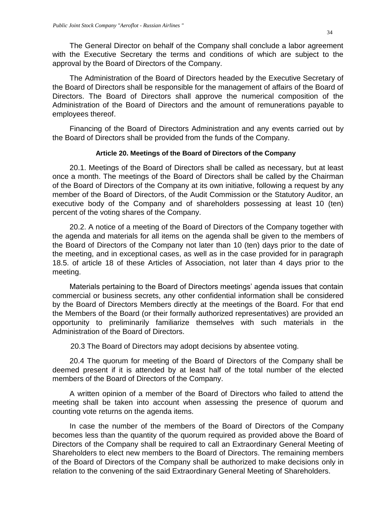The General Director on behalf of the Company shall conclude a labor agreement with the Executive Secretary the terms and conditions of which are subject to the approval by the Board of Directors of the Company.

The Administration of the Board of Directors headed by the Executive Secretary of the Board of Directors shall be responsible for the management of affairs of the Board of Directors. The Board of Directors shall approve the numerical composition of the Administration of the Board of Directors and the amount of remunerations payable to employees thereof.

Financing of the Board of Directors Administration and any events carried out by the Board of Directors shall be provided from the funds of the Company.

#### **Article 20. Meetings of the Board of Directors of the Company**

<span id="page-33-0"></span>20.1. Meetings of the Board of Directors shall be called as necessary, but at least once a month. The meetings of the Board of Directors shall be called by the Chairman of the Board of Directors of the Company at its own initiative, following a request by any member of the Board of Directors, of the Audit Commission or the Statutory Auditor, an executive body of the Company and of shareholders possessing at least 10 (ten) percent of the voting shares of the Company.

20.2. A notice of a meeting of the Board of Directors of the Company together with the agenda and materials for all items on the agenda shall be given to the members of the Board of Directors of the Company not later than 10 (ten) days prior to the date of the meeting, and in exceptional cases, as well as in the case provided for in paragraph 18.5. of article 18 of these Articles of Association, not later than 4 days prior to the meeting.

Materials pertaining to the Board of Directors meetings' agenda issues that contain commercial or business secrets, any other confidential information shall be considered by the Board of Directors Members directly at the meetings of the Board. For that end the Members of the Board (or their formally authorized representatives) are provided an opportunity to preliminarily familiarize themselves with such materials in the Administration of the Board of Directors.

20.3 The Board of Directors may adopt decisions by absentee voting.

20.4 The quorum for meeting of the Board of Directors of the Company shall be deemed present if it is attended by at least half of the total number of the elected members of the Board of Directors of the Company.

A written opinion of a member of the Board of Directors who failed to attend the meeting shall be taken into account when assessing the presence of quorum and counting vote returns on the agenda items.

In case the number of the members of the Board of Directors of the Company becomes less than the quantity of the quorum required as provided above the Board of Directors of the Company shall be required to call an Extraordinary General Meeting of Shareholders to elect new members to the Board of Directors. The remaining members of the Board of Directors of the Company shall be authorized to make decisions only in relation to the convening of the said Extraordinary General Meeting of Shareholders.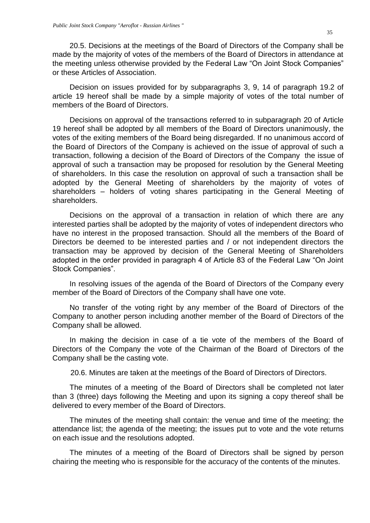20.5. Decisions at the meetings of the Board of Directors of the Company shall be made by the majority of votes of the members of the Board of Directors in attendance at the meeting unless otherwise provided by the Federal Law "On Joint Stock Companies" or these Articles of Association.

Decision on issues provided for by subparagraphs 3, 9, 14 of paragraph 19.2 of article 19 hereof shall be made by a simple majority of votes of the total number of members of the Board of Directors.

Decisions on approval of the transactions referred to in subparagraph 20 of Article 19 hereof shall be adopted by all members of the Board of Directors unanimously, the votes of the exiting members of the Board being disregarded. If no unanimous accord of the Board of Directors of the Company is achieved on the issue of approval of such a transaction, following a decision of the Board of Directors of the Company the issue of approval of such a transaction may be proposed for resolution by the General Meeting of shareholders. In this case the resolution on approval of such a transaction shall be adopted by the General Meeting of shareholders by the majority of votes of shareholders – holders of voting shares participating in the General Meeting of shareholders.

Decisions on the approval of a transaction in relation of which there are any interested parties shall be adopted by the majority of votes of independent directors who have no interest in the proposed transaction. Should all the members of the Board of Directors be deemed to be interested parties and / or not independent directors the transaction may be approved by decision of the General Meeting of Shareholders adopted in the order provided in paragraph 4 of Article 83 of the Federal Law "On Joint Stock Companies".

In resolving issues of the agenda of the Board of Directors of the Company every member of the Board of Directors of the Company shall have one vote.

No transfer of the voting right by any member of the Board of Directors of the Company to another person including another member of the Board of Directors of the Company shall be allowed.

In making the decision in case of a tie vote of the members of the Board of Directors of the Company the vote of the Chairman of the Board of Directors of the Company shall be the casting vote.

20.6. Minutes are taken at the meetings of the Board of Directors of Directors.

The minutes of a meeting of the Board of Directors shall be completed not later than 3 (three) days following the Meeting and upon its signing a copy thereof shall be delivered to every member of the Board of Directors.

The minutes of the meeting shall contain: the venue and time of the meeting; the attendance list; the agenda of the meeting; the issues put to vote and the vote returns on each issue and the resolutions adopted.

The minutes of a meeting of the Board of Directors shall be signed by person chairing the meeting who is responsible for the accuracy of the contents of the minutes.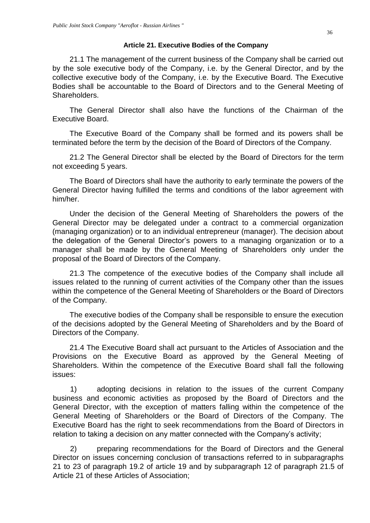#### **Article 21. Executive Bodies of the Company**

<span id="page-35-0"></span>21.1 The management of the current business of the Company shall be carried out by the sole executive body of the Company, i.e. by the General Director, and by the collective executive body of the Company, i.e. by the Executive Board. The Executive Bodies shall be accountable to the Board of Directors and to the General Meeting of Shareholders.

The General Director shall also have the functions of the Chairman of the Executive Board.

The Executive Board of the Company shall be formed and its powers shall be terminated before the term by the decision of the Board of Directors of the Company.

21.2 The General Director shall be elected by the Board of Directors for the term not exceeding 5 years.

The Board of Directors shall have the authority to early terminate the powers of the General Director having fulfilled the terms and conditions of the labor agreement with him/her.

Under the decision of the General Meeting of Shareholders the powers of the General Director may be delegated under a contract to a commercial organization (managing organization) or to an individual entrepreneur (manager). The decision about the delegation of the General Director's powers to a managing organization or to a manager shall be made by the General Meeting of Shareholders only under the proposal of the Board of Directors of the Company.

21.3 The competence of the executive bodies of the Company shall include all issues related to the running of current activities of the Company other than the issues within the competence of the General Meeting of Shareholders or the Board of Directors of the Company.

The executive bodies of the Company shall be responsible to ensure the execution of the decisions adopted by the General Meeting of Shareholders and by the Board of Directors of the Company.

21.4 The Executive Board shall act pursuant to the Articles of Association and the Provisions on the Executive Board as approved by the General Meeting of Shareholders. Within the competence of the Executive Board shall fall the following issues:

1) adopting decisions in relation to the issues of the current Company business and economic activities as proposed by the Board of Directors and the General Director, with the exception of matters falling within the competence of the General Meeting of Shareholders or the Board of Directors of the Company. The Executive Board has the right to seek recommendations from the Board of Directors in relation to taking a decision on any matter connected with the Company's activity;

2) preparing recommendations for the Board of Directors and the General Director on issues concerning conclusion of transactions referred to in subparagraphs 21 to 23 of paragraph 19.2 of article 19 and by subparagraph 12 of paragraph 21.5 of Article 21 of these Articles of Association;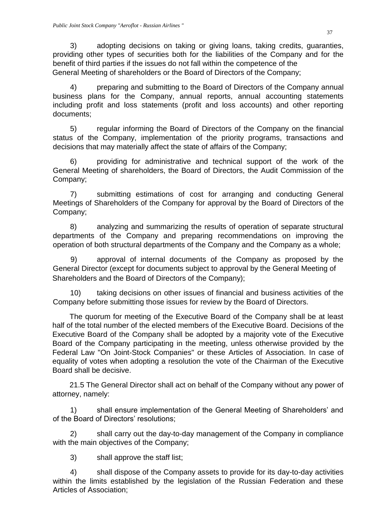3) adopting decisions on taking or giving loans, taking credits, guaranties, providing other types of securities both for the liabilities of the Company and for the benefit of third parties if the issues do not fall within the competence of the General Meeting of shareholders or the Board of Directors of the Company;

4) preparing and submitting to the Board of Directors of the Company annual business plans for the Company, annual reports, annual accounting statements including profit and loss statements (profit and loss accounts) and other reporting documents;

5) regular informing the Board of Directors of the Company on the financial status of the Company, implementation of the priority programs, transactions and decisions that may materially affect the state of affairs of the Company;

6) providing for administrative and technical support of the work of the General Meeting of shareholders, the Board of Directors, the Audit Commission of the Company;

7) submitting estimations of cost for arranging and conducting General Meetings of Shareholders of the Company for approval by the Board of Directors of the Company;

8) analyzing and summarizing the results of operation of separate structural departments of the Company and preparing recommendations on improving the operation of both structural departments of the Company and the Company as a whole;

9) approval of internal documents of the Company as proposed by the General Director (except for documents subject to approval by the General Meeting of Shareholders and the Board of Directors of the Company);

10) taking decisions on other issues of financial and business activities of the Company before submitting those issues for review by the Board of Directors.

The quorum for meeting of the Executive Board of the Company shall be at least half of the total number of the elected members of the Executive Board. Decisions of the Executive Board of the Company shall be adopted by a majority vote of the Executive Board of the Company participating in the meeting, unless otherwise provided by the Federal Law "On Joint-Stock Companies" or these Articles of Association. In case of equality of votes when adopting a resolution the vote of the Chairman of the Executive Board shall be decisive.

21.5 The General Director shall act on behalf of the Company without any power of attorney, namely:

1) shall ensure implementation of the General Meeting of Shareholders' and of the Board of Directors' resolutions;

2) shall carry out the day-to-day management of the Company in compliance with the main objectives of the Company;

3) shall approve the staff list;

4) shall dispose of the Company assets to provide for its day-to-day activities within the limits established by the legislation of the Russian Federation and these Articles of Association;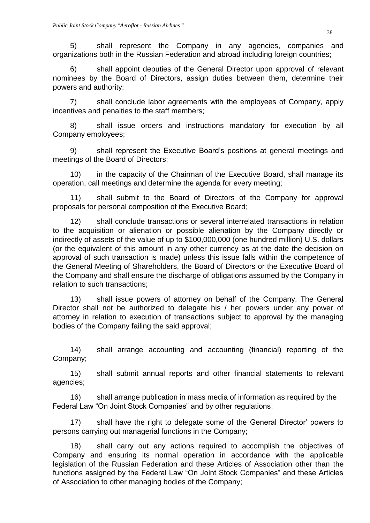5) shall represent the Company in any agencies, companies and organizations both in the Russian Federation and abroad including foreign countries;

6) shall appoint deputies of the General Director upon approval of relevant nominees by the Board of Directors, assign duties between them, determine their powers and authority;

7) shall conclude labor agreements with the employees of Company, apply incentives and penalties to the staff members;

8) shall issue orders and instructions mandatory for execution by all Company employees;

9) shall represent the Executive Board's positions at general meetings and meetings of the Board of Directors;

10) in the capacity of the Chairman of the Executive Board, shall manage its operation, call meetings and determine the agenda for every meeting;

11) shall submit to the Board of Directors of the Company for approval proposals for personal composition of the Executive Board;

12) shall conclude transactions or several interrelated transactions in relation to the acquisition or alienation or possible alienation by the Company directly or indirectly of assets of the value of up to \$100,000,000 (one hundred million) U.S. dollars (or the equivalent of this amount in any other currency as at the date the decision on approval of such transaction is made) unless this issue falls within the competence of the General Meeting of Shareholders, the Board of Directors or the Executive Board of the Company and shall ensure the discharge of obligations assumed by the Company in relation to such transactions;

13) shall issue powers of attorney on behalf of the Company. The General Director shall not be authorized to delegate his / her powers under any power of attorney in relation to execution of transactions subject to approval by the managing bodies of the Company failing the said approval;

14) shall arrange accounting and accounting (financial) reporting of the Company;

15) shall submit annual reports and other financial statements to relevant agencies;

16) shall arrange publication in mass media of information as required by the Federal Law "On Joint Stock Companies" and by other regulations;

17) shall have the right to delegate some of the General Director' powers to persons carrying out managerial functions in the Company;

18) shall carry out any actions required to accomplish the objectives of Company and ensuring its normal operation in accordance with the applicable legislation of the Russian Federation and these Articles of Association other than the functions assigned by the Federal Law "On Joint Stock Companies" and these Articles of Association to other managing bodies of the Company;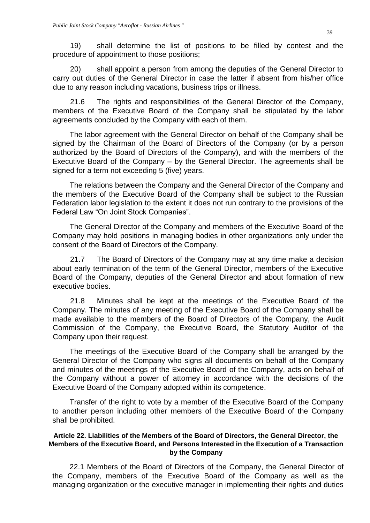19) shall determine the list of positions to be filled by contest and the procedure of appointment to those positions;

20) shall appoint a person from among the deputies of the General Director to carry out duties of the General Director in case the latter if absent from his/her office due to any reason including vacations, business trips or illness.

21.6 The rights and responsibilities of the General Director of the Company, members of the Executive Board of the Company shall be stipulated by the labor agreements concluded by the Company with each of them.

The labor agreement with the General Director on behalf of the Company shall be signed by the Chairman of the Board of Directors of the Company (or by a person authorized by the Board of Directors of the Company), and with the members of the Executive Board of the Company – by the General Director. The agreements shall be signed for a term not exceeding 5 (five) years.

The relations between the Company and the General Director of the Company and the members of the Executive Board of the Company shall be subject to the Russian Federation labor legislation to the extent it does not run contrary to the provisions of the Federal Law "On Joint Stock Companies".

The General Director of the Company and members of the Executive Board of the Company may hold positions in managing bodies in other organizations only under the consent of the Board of Directors of the Company.

21.7 The Board of Directors of the Company may at any time make a decision about early termination of the term of the General Director, members of the Executive Board of the Company, deputies of the General Director and about formation of new executive bodies.

21.8 Minutes shall be kept at the meetings of the Executive Board of the Company. The minutes of any meeting of the Executive Board of the Company shall be made available to the members of the Board of Directors of the Company, the Audit Commission of the Company, the Executive Board, the Statutory Auditor of the Company upon their request.

The meetings of the Executive Board of the Company shall be arranged by the General Director of the Company who signs all documents on behalf of the Company and minutes of the meetings of the Executive Board of the Company, acts on behalf of the Company without a power of attorney in accordance with the decisions of the Executive Board of the Company adopted within its competence.

Transfer of the right to vote by a member of the Executive Board of the Company to another person including other members of the Executive Board of the Company shall be prohibited.

# <span id="page-38-0"></span>**Article 22. Liabilities of the Members of the Board of Directors, the General Director, the Members of the Executive Board, and Persons Interested in the Execution of a Transaction by the Company**

22.1 Members of the Board of Directors of the Company, the General Director of the Company, members of the Executive Board of the Company as well as the managing organization or the executive manager in implementing their rights and duties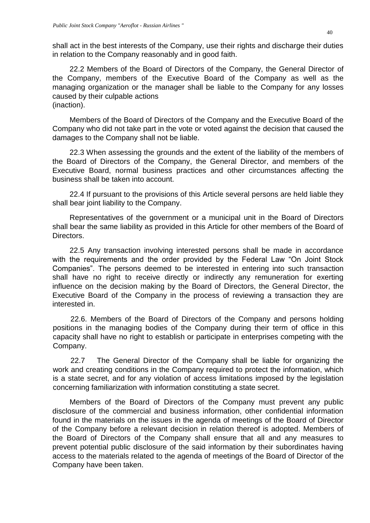shall act in the best interests of the Company, use their rights and discharge their duties in relation to the Company reasonably and in good faith.

22.2 Members of the Board of Directors of the Company, the General Director of the Company, members of the Executive Board of the Company as well as the managing organization or the manager shall be liable to the Company for any losses caused by their culpable actions (inaction).

Members of the Board of Directors of the Company and the Executive Board of the Company who did not take part in the vote or voted against the decision that caused the damages to the Company shall not be liable.

22.3 When assessing the grounds and the extent of the liability of the members of the Board of Directors of the Company, the General Director, and members of the Executive Board, normal business practices and other circumstances affecting the business shall be taken into account.

22.4 If pursuant to the provisions of this Article several persons are held liable they shall bear joint liability to the Company.

Representatives of the government or a municipal unit in the Board of Directors shall bear the same liability as provided in this Article for other members of the Board of Directors.

22.5 Any transaction involving interested persons shall be made in accordance with the requirements and the order provided by the Federal Law "On Joint Stock Companies". The persons deemed to be interested in entering into such transaction shall have no right to receive directly or indirectly any remuneration for exerting influence on the decision making by the Board of Directors, the General Director, the Executive Board of the Company in the process of reviewing a transaction they are interested in.

22.6. Members of the Board of Directors of the Company and persons holding positions in the managing bodies of the Company during their term of office in this capacity shall have no right to establish or participate in enterprises competing with the Company.

22.7 The General Director of the Company shall be liable for organizing the work and creating conditions in the Company required to protect the information, which is a state secret, and for any violation of access limitations imposed by the legislation concerning familiarization with information constituting a state secret.

Members of the Board of Directors of the Company must prevent any public disclosure of the commercial and business information, other confidential information found in the materials on the issues in the agenda of meetings of the Board of Director of the Company before a relevant decision in relation thereof is adopted. Members of the Board of Directors of the Company shall ensure that all and any measures to prevent potential public disclosure of the said information by their subordinates having access to the materials related to the agenda of meetings of the Board of Director of the Company have been taken.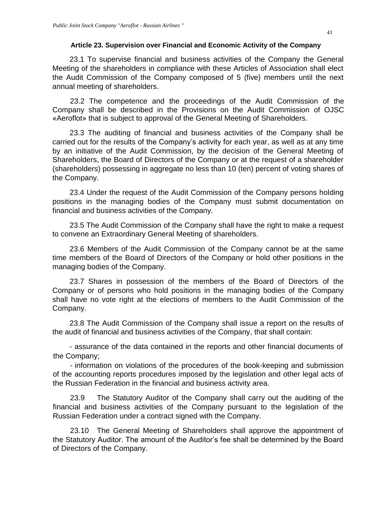# **Article 23. Supervision over Financial and Economic Activity of the Company**

<span id="page-40-0"></span>23.1 To supervise financial and business activities of the Company the General Meeting of the shareholders in compliance with these Articles of Association shall elect the Audit Commission of the Company composed of 5 (five) members until the next annual meeting of shareholders.

23.2 The competence and the proceedings of the Audit Commission of the Company shall be described in the Provisions on the Audit Commission of OJSC «Aeroflot» that is subject to approval of the General Meeting of Shareholders.

23.3 The auditing of financial and business activities of the Company shall be carried out for the results of the Company's activity for each year, as well as at any time by an initiative of the Audit Commission, by the decision of the General Meeting of Shareholders, the Board of Directors of the Company or at the request of a shareholder (shareholders) possessing in aggregate no less than 10 (ten) percent of voting shares of the Company.

23.4 Under the request of the Audit Commission of the Company persons holding positions in the managing bodies of the Company must submit documentation on financial and business activities of the Company.

23.5 The Audit Commission of the Company shall have the right to make a request to convene an Extraordinary General Meeting of shareholders.

23.6 Members of the Audit Commission of the Company cannot be at the same time members of the Board of Directors of the Company or hold other positions in the managing bodies of the Company.

23.7 Shares in possession of the members of the Board of Directors of the Company or of persons who hold positions in the managing bodies of the Company shall have no vote right at the elections of members to the Audit Commission of the Company.

23.8 The Audit Commission of the Company shall issue a report on the results of the audit of financial and business activities of the Company, that shall contain:

 - assurance of the data contained in the reports and other financial documents of the Company;

- information on violations of the procedures of the book-keeping and submission of the accounting reports procedures imposed by the legislation and other legal acts of the Russian Federation in the financial and business activity area.

23.9 The Statutory Auditor of the Company shall carry out the auditing of the financial and business activities of the Company pursuant to the legislation of the Russian Federation under a contract signed with the Company.

23.10 The General Meeting of Shareholders shall approve the appointment of the Statutory Auditor. The amount of the Auditor's fee shall be determined by the Board of Directors of the Company.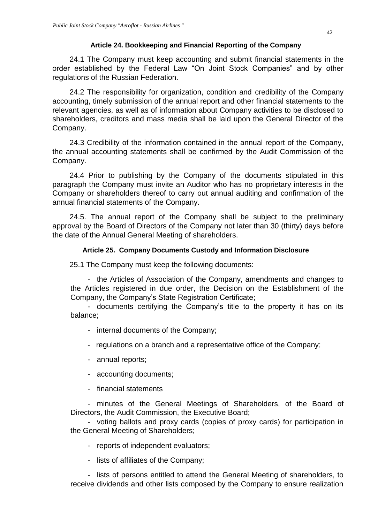# **Article 24. Bookkeeping and Financial Reporting of the Company**

<span id="page-41-0"></span>24.1 The Company must keep accounting and submit financial statements in the order established by the Federal Law "On Joint Stock Companies" and by other regulations of the Russian Federation.

24.2 The responsibility for organization, condition and credibility of the Company accounting, timely submission of the annual report and other financial statements to the relevant agencies, as well as of information about Company activities to be disclosed to shareholders, creditors and mass media shall be laid upon the General Director of the Company.

24.3 Credibility of the information contained in the annual report of the Company, the annual accounting statements shall be confirmed by the Audit Commission of the Company.

24.4 Prior to publishing by the Company of the documents stipulated in this paragraph the Company must invite an Auditor who has no proprietary interests in the Company or shareholders thereof to carry out annual auditing and confirmation of the annual financial statements of the Company.

24.5. The annual report of the Company shall be subject to the preliminary approval by the Board of Directors of the Company not later than 30 (thirty) days before the date of the Annual General Meeting of shareholders.

# **Article 25. Company Documents Custody and Information Disclosure**

<span id="page-41-1"></span>25.1 The Company must keep the following documents:

- the Articles of Association of the Company, amendments and changes to the Articles registered in due order, the Decision on the Establishment of the Company, the Company's State Registration Certificate;

- documents certifying the Company's title to the property it has on its balance;

- internal documents of the Company;
- regulations on a branch and a representative office of the Company;
- annual reports;
- accounting documents;
- financial statements

- minutes of the General Meetings of Shareholders, of the Board of Directors, the Audit Commission, the Executive Board;

- voting ballots and proxy cards (copies of proxy cards) for participation in the General Meeting of Shareholders;

- reports of independent evaluators;
- lists of affiliates of the Company;

- lists of persons entitled to attend the General Meeting of shareholders, to receive dividends and other lists composed by the Company to ensure realization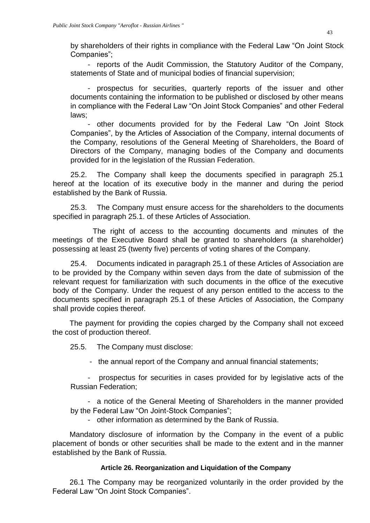by shareholders of their rights in compliance with the Federal Law "On Joint Stock Companies";

- reports of the Audit Commission, the Statutory Auditor of the Company, statements of State and of municipal bodies of financial supervision;

- prospectus for securities, quarterly reports of the issuer and other documents containing the information to be published or disclosed by other means in compliance with the Federal Law "On Joint Stock Companies" and other Federal laws;

- other documents provided for by the Federal Law "On Joint Stock Companies", by the Articles of Association of the Company, internal documents of the Company, resolutions of the General Meeting of Shareholders, the Board of Directors of the Company, managing bodies of the Company and documents provided for in the legislation of the Russian Federation.

25.2. The Company shall keep the documents specified in paragraph 25.1 hereof at the location of its executive body in the manner and during the period established by the Bank of Russia.

25.3. The Company must ensure access for the shareholders to the documents specified in paragraph 25.1. of these Articles of Association.

 The right of access to the accounting documents and minutes of the meetings of the Executive Board shall be granted to shareholders (a shareholder) possessing at least 25 (twenty five) percents of voting shares of the Company.

25.4. Documents indicated in paragraph 25.1 of these Articles of Association are to be provided by the Company within seven days from the date of submission of the relevant request for familiarization with such documents in the office of the executive body of the Company. Under the request of any person entitled to the access to the documents specified in paragraph 25.1 of these Articles of Association, the Company shall provide copies thereof.

The payment for providing the copies charged by the Company shall not exceed the cost of production thereof.

25.5. The Company must disclose:

- the annual report of the Company and annual financial statements;

- prospectus for securities in cases provided for by legislative acts of the Russian Federation;

- a notice of the General Meeting of Shareholders in the manner provided by the Federal Law "On Joint-Stock Companies";

- other information as determined by the Bank of Russia.

Mandatory disclosure of information by the Company in the event of a public placement of bonds or other securities shall be made to the extent and in the manner established by the Bank of Russia.

## **Article 26. Reorganization and Liquidation of the Company**

<span id="page-42-0"></span>26.1 The Company may be reorganized voluntarily in the order provided by the Federal Law "On Joint Stock Companies".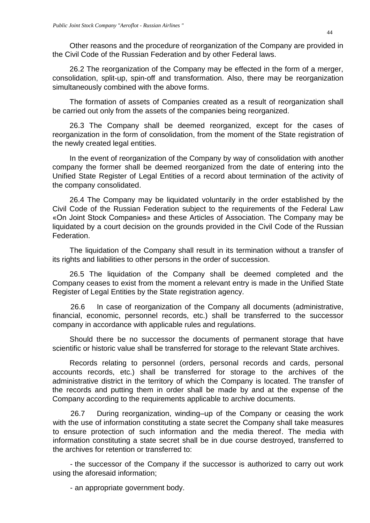Other reasons and the procedure of reorganization of the Company are provided in the Civil Code of the Russian Federation and by other Federal laws.

26.2 The reorganization of the Company may be effected in the form of a merger, consolidation, split-up, spin-off and transformation. Also, there may be reorganization simultaneously combined with the above forms.

The formation of assets of Companies created as a result of reorganization shall be carried out only from the assets of the companies being reorganized.

26.3 The Company shall be deemed reorganized, except for the cases of reorganization in the form of consolidation, from the moment of the State registration of the newly created legal entities.

In the event of reorganization of the Company by way of consolidation with another company the former shall be deemed reorganized from the date of entering into the Unified State Register of Legal Entities of a record about termination of the activity of the company consolidated.

26.4 The Company may be liquidated voluntarily in the order established by the Civil Code of the Russian Federation subject to the requirements of the Federal Law «On Joint Stock Companies» and these Articles of Association. The Company may be liquidated by a court decision on the grounds provided in the Civil Code of the Russian **Federation** 

The liquidation of the Company shall result in its termination without a transfer of its rights and liabilities to other persons in the order of succession.

26.5 The liquidation of the Company shall be deemed completed and the Company ceases to exist from the moment a relevant entry is made in the Unified State Register of Legal Entities by the State registration agency.

26.6 In case of reorganization of the Company all documents (administrative, financial, economic, personnel records, etc.) shall be transferred to the successor company in accordance with applicable rules and regulations.

Should there be no successor the documents of permanent storage that have scientific or historic value shall be transferred for storage to the relevant State archives.

Records relating to personnel (orders, personal records and cards, personal accounts records, etc.) shall be transferred for storage to the archives of the administrative district in the territory of which the Company is located. The transfer of the records and putting them in order shall be made by and at the expense of the Company according to the requirements applicable to archive documents.

26.7 During reorganization, winding–up of the Company or ceasing the work with the use of information constituting a state secret the Company shall take measures to ensure protection of such information and the media thereof. The media with information constituting a state secret shall be in due course destroyed, transferred to the archives for retention or transferred to:

- the successor of the Company if the successor is authorized to carry out work using the aforesaid information;

- an appropriate government body.